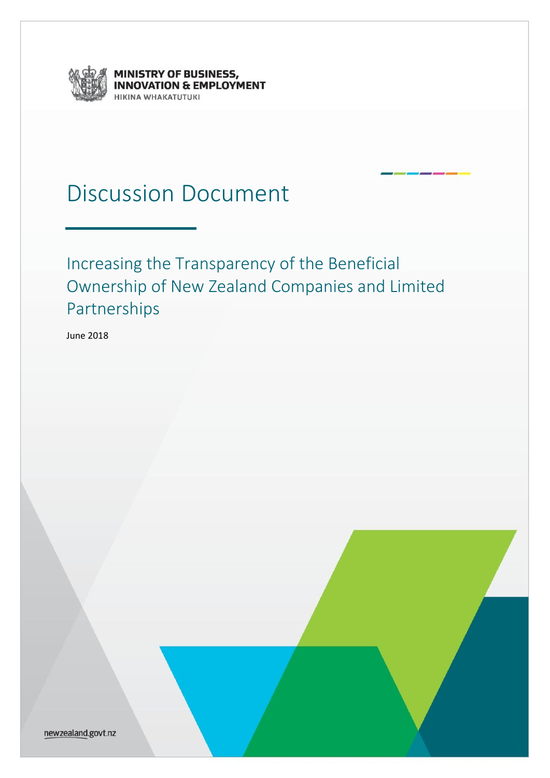

MINISTRY OF BUSINESS,<br>INNOVATION & EMPLOYMENT **IIKINA WHAKATUTUKI** 

## Discussion Document

Increasing the Transparency of the Beneficial Ownership of New Zealand Companies and Limited Partnerships

June 2018

newzealand.govt.nz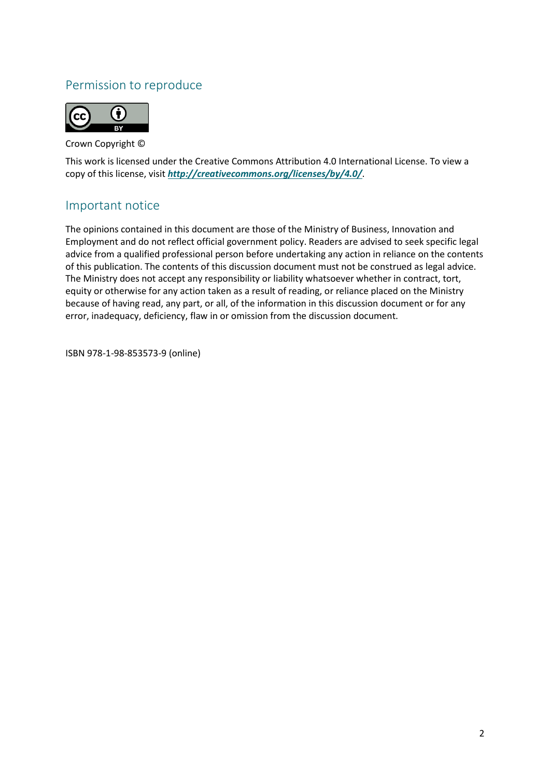## Permission to reproduce



Crown Copyright ©

This work is licensed under the Creative Commons Attribution 4.0 International License. To view a copy of this license, visit *<http://creativecommons.org/licenses/by/4.0/>*.

## Important notice

The opinions contained in this document are those of the Ministry of Business, Innovation and Employment and do not reflect official government policy. Readers are advised to seek specific legal advice from a qualified professional person before undertaking any action in reliance on the contents of this publication. The contents of this discussion document must not be construed as legal advice. The Ministry does not accept any responsibility or liability whatsoever whether in contract, tort, equity or otherwise for any action taken as a result of reading, or reliance placed on the Ministry because of having read, any part, or all, of the information in this discussion document or for any error, inadequacy, deficiency, flaw in or omission from the discussion document.

ISBN 978-1-98-853573-9 (online)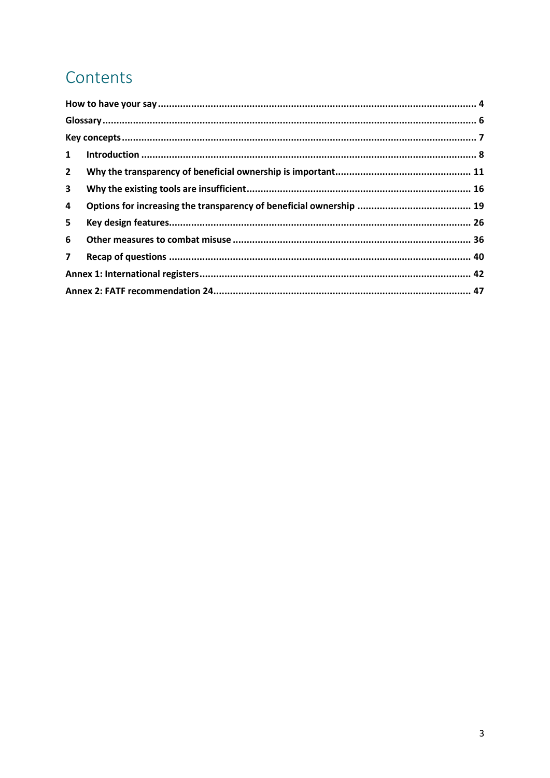## Contents

| $\mathbf{1}$   |  |  |
|----------------|--|--|
| $2^{\circ}$    |  |  |
| 3              |  |  |
| 4              |  |  |
| 5              |  |  |
| 6              |  |  |
| 7 <sup>7</sup> |  |  |
|                |  |  |
|                |  |  |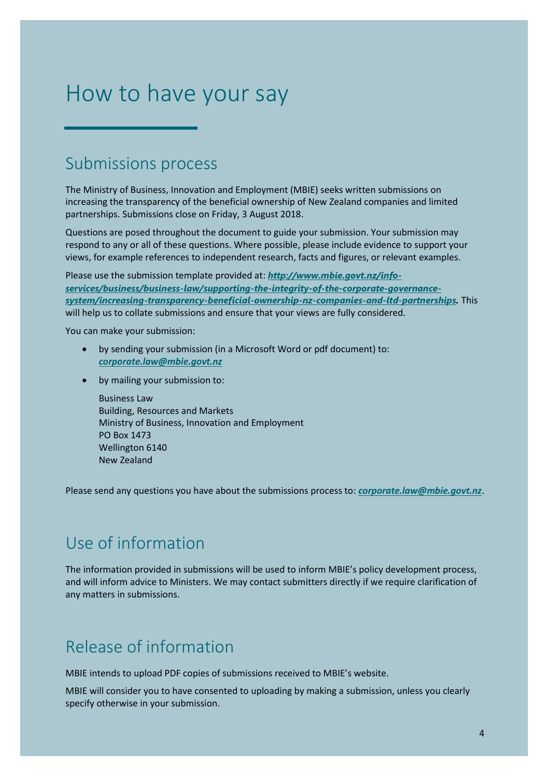## <span id="page-3-0"></span>How to have your say

## Submissions process

The Ministry of Business, Innovation and Employment (MBIE) seeks written submissions on increasing the transparency of the beneficial ownership of New Zealand companies and limited partnerships. Submissions close on Friday, 3 August 2018.

Questions are posed throughout the document to guide your submission. Your submission may respond to any or all of these questions. Where possible, please include evidence to support your views, for example references to independent research, facts and figures, or relevant examples.

Please use the submission template provided at: *[http://www.mbie.govt.nz/info](http://www.mbie.govt.nz/info-services/business/business-law/supporting-the-integrity-of-the-corporate-governance-system/increasing-transparency-beneficial-ownership-nz-companies-and-ltd-partnerships)[services/business/business-law/supporting-the-integrity-of-the-corporate-governance](http://www.mbie.govt.nz/info-services/business/business-law/supporting-the-integrity-of-the-corporate-governance-system/increasing-transparency-beneficial-ownership-nz-companies-and-ltd-partnerships)[system/increasing-transparency-beneficial-ownership-nz-companies-and-ltd-partnerships.](http://www.mbie.govt.nz/info-services/business/business-law/supporting-the-integrity-of-the-corporate-governance-system/increasing-transparency-beneficial-ownership-nz-companies-and-ltd-partnerships)* This will help us to collate submissions and ensure that your views are fully considered.

You can make your submission:

- by sending your submission (in a Microsoft Word or pdf document) to: *[corporate.law@mbie.govt.nz](mailto:corporate.law@mbie.govt.nz)*
- by mailing your submission to:

Business Law Building, Resources and Markets Ministry of Business, Innovation and Employment PO Box 1473 Wellington 6140 New Zealand

Please send any questions you have about the submissions process to: *[corporate.law@mbie.govt.nz](mailto:corporate.law@mbie.govt.nz)*.

## Use of information

The information provided in submissions will be used to inform MBIE's policy development process, and will inform advice to Ministers. We may contact submitters directly if we require clarification of any matters in submissions.

## Release of information

MBIE intends to upload PDF copies of submissions received to MBIE's website.

MBIE will consider you to have consented to uploading by making a submission, unless you clearly specify otherwise in your submission.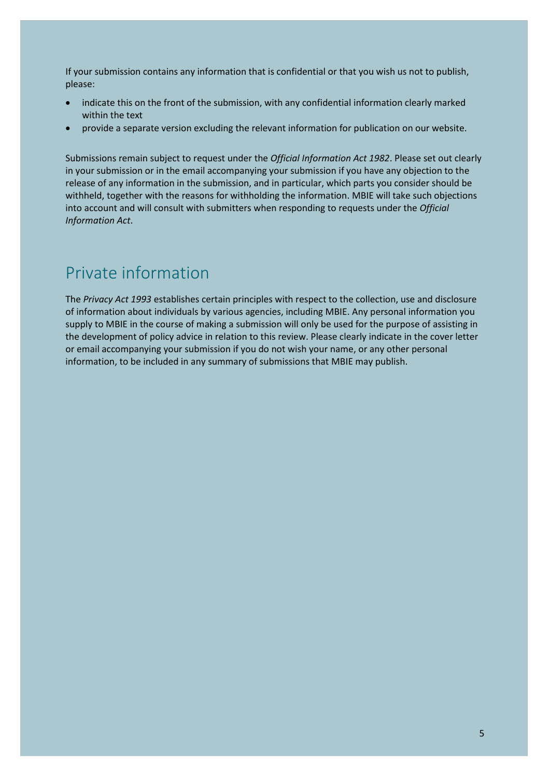If your submission contains any information that is confidential or that you wish us not to publish, please:

- indicate this on the front of the submission, with any confidential information clearly marked within the text
- provide a separate version excluding the relevant information for publication on our website.

Submissions remain subject to request under the *Official Information Act 1982*. Please set out clearly in your submission or in the email accompanying your submission if you have any objection to the release of any information in the submission, and in particular, which parts you consider should be withheld, together with the reasons for withholding the information. MBIE will take such objections into account and will consult with submitters when responding to requests under the *Official Information Act*.

## Private information

The *Privacy Act 1993* establishes certain principles with respect to the collection, use and disclosure of information about individuals by various agencies, including MBIE. Any personal information you supply to MBIE in the course of making a submission will only be used for the purpose of assisting in the development of policy advice in relation to this review. Please clearly indicate in the cover letter or email accompanying your submission if you do not wish your name, or any other personal information, to be included in any summary of submissions that MBIE may publish.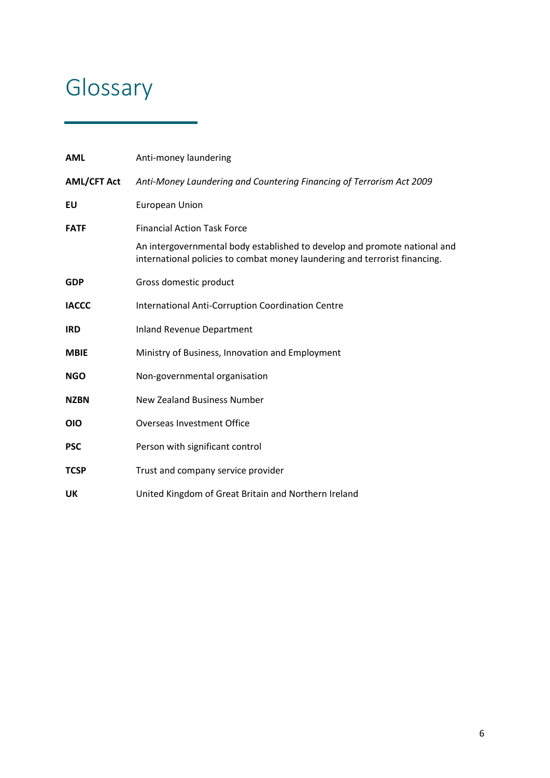# <span id="page-5-0"></span>Glossary

| <b>AML</b>         | Anti-money laundering                                                                                                                                   |
|--------------------|---------------------------------------------------------------------------------------------------------------------------------------------------------|
| <b>AML/CFT Act</b> | Anti-Money Laundering and Countering Financing of Terrorism Act 2009                                                                                    |
| EU                 | <b>European Union</b>                                                                                                                                   |
| <b>FATF</b>        | <b>Financial Action Task Force</b>                                                                                                                      |
|                    | An intergovernmental body established to develop and promote national and<br>international policies to combat money laundering and terrorist financing. |
| <b>GDP</b>         | Gross domestic product                                                                                                                                  |
| <b>IACCC</b>       | International Anti-Corruption Coordination Centre                                                                                                       |
| <b>IRD</b>         | <b>Inland Revenue Department</b>                                                                                                                        |
| <b>MBIE</b>        | Ministry of Business, Innovation and Employment                                                                                                         |
| <b>NGO</b>         | Non-governmental organisation                                                                                                                           |
| <b>NZBN</b>        | <b>New Zealand Business Number</b>                                                                                                                      |
| <b>OIO</b>         | <b>Overseas Investment Office</b>                                                                                                                       |
| <b>PSC</b>         | Person with significant control                                                                                                                         |
| <b>TCSP</b>        | Trust and company service provider                                                                                                                      |
| UK                 | United Kingdom of Great Britain and Northern Ireland                                                                                                    |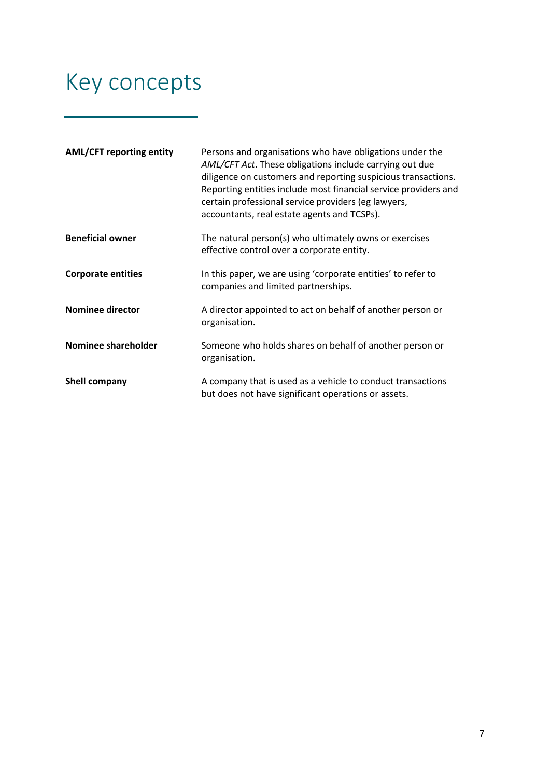## <span id="page-6-0"></span>Key concepts

| <b>AML/CFT reporting entity</b> | Persons and organisations who have obligations under the<br>AML/CFT Act. These obligations include carrying out due<br>diligence on customers and reporting suspicious transactions.<br>Reporting entities include most financial service providers and<br>certain professional service providers (eg lawyers,<br>accountants, real estate agents and TCSPs). |
|---------------------------------|---------------------------------------------------------------------------------------------------------------------------------------------------------------------------------------------------------------------------------------------------------------------------------------------------------------------------------------------------------------|
| <b>Beneficial owner</b>         | The natural person(s) who ultimately owns or exercises<br>effective control over a corporate entity.                                                                                                                                                                                                                                                          |
| <b>Corporate entities</b>       | In this paper, we are using 'corporate entities' to refer to<br>companies and limited partnerships.                                                                                                                                                                                                                                                           |
| <b>Nominee director</b>         | A director appointed to act on behalf of another person or<br>organisation.                                                                                                                                                                                                                                                                                   |
| Nominee shareholder             | Someone who holds shares on behalf of another person or<br>organisation.                                                                                                                                                                                                                                                                                      |
| Shell company                   | A company that is used as a vehicle to conduct transactions<br>but does not have significant operations or assets.                                                                                                                                                                                                                                            |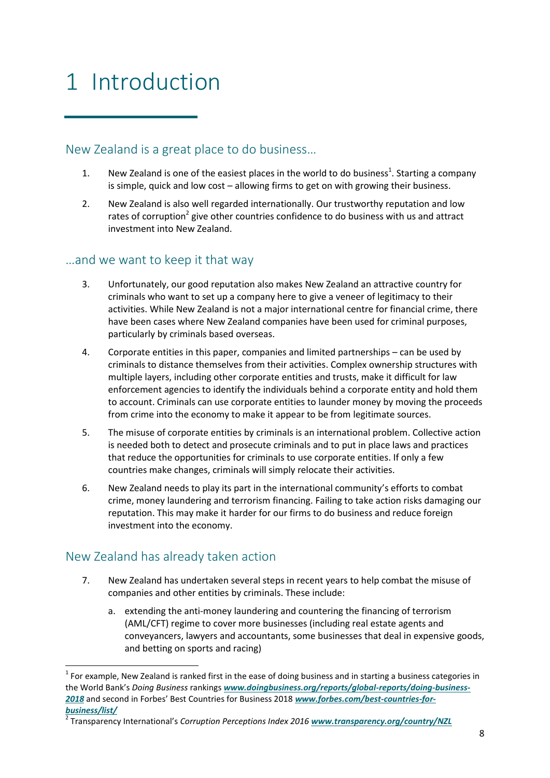# <span id="page-7-0"></span>1 Introduction

## New Zealand is a great place to do business…

- 1. New Zealand is one of the easiest places in the world to do business<sup>1</sup>. Starting a company is simple, quick and low cost – allowing firms to get on with growing their business.
- 2. New Zealand is also well regarded internationally. Our trustworthy reputation and low rates of corruption<sup>2</sup> give other countries confidence to do business with us and attract investment into New Zealand.

### …and we want to keep it that way

- 3. Unfortunately, our good reputation also makes New Zealand an attractive country for criminals who want to set up a company here to give a veneer of legitimacy to their activities. While New Zealand is not a major international centre for financial crime, there have been cases where New Zealand companies have been used for criminal purposes, particularly by criminals based overseas.
- 4. Corporate entities in this paper, companies and limited partnerships can be used by criminals to distance themselves from their activities. Complex ownership structures with multiple layers, including other corporate entities and trusts, make it difficult for law enforcement agencies to identify the individuals behind a corporate entity and hold them to account. Criminals can use corporate entities to launder money by moving the proceeds from crime into the economy to make it appear to be from legitimate sources.
- 5. The misuse of corporate entities by criminals is an international problem. Collective action is needed both to detect and prosecute criminals and to put in place laws and practices that reduce the opportunities for criminals to use corporate entities. If only a few countries make changes, criminals will simply relocate their activities.
- 6. New Zealand needs to play its part in the international community's efforts to combat crime, money laundering and terrorism financing. Failing to take action risks damaging our reputation. This may make it harder for our firms to do business and reduce foreign investment into the economy.

## New Zealand has already taken action

 $\overline{a}$ 

- 7. New Zealand has undertaken several steps in recent years to help combat the misuse of companies and other entities by criminals. These include:
	- a. extending the anti-money laundering and countering the financing of terrorism (AML/CFT) regime to cover more businesses (including real estate agents and conveyancers, lawyers and accountants, some businesses that deal in expensive goods, and betting on sports and racing)

 $1$  For example, New Zealand is ranked first in the ease of doing business and in starting a business categories in the World Bank's *Doing Business* rankings *[www.doingbusiness.org/reports/global-reports/doing-business-](http://www.doingbusiness.org/reports/global-reports/doing-business-2018)[2018](http://www.doingbusiness.org/reports/global-reports/doing-business-2018)* and second in Forbes' Best Countries for Business 2018 *[www.forbes.com/best-countries-for](http://www.forbes.com/best-countries-for-business/list/)[business/list/](http://www.forbes.com/best-countries-for-business/list/)*

<sup>2</sup> Transparency International's *Corruption Perceptions Index 2016 [www.transparency.org/country/NZL](http://www.transparency.org/country/NZL)*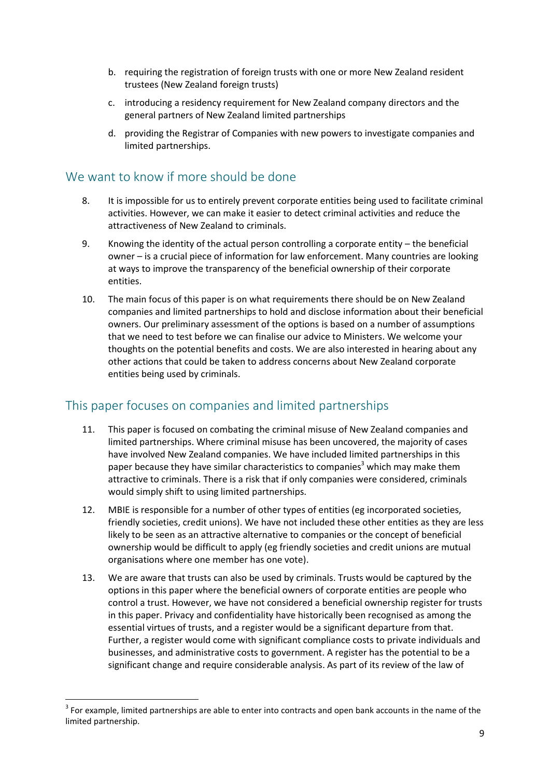- b. requiring the registration of foreign trusts with one or more New Zealand resident trustees (New Zealand foreign trusts)
- c. introducing a residency requirement for New Zealand company directors and the general partners of New Zealand limited partnerships
- d. providing the Registrar of Companies with new powers to investigate companies and limited partnerships.

## We want to know if more should be done

- 8. It is impossible for us to entirely prevent corporate entities being used to facilitate criminal activities. However, we can make it easier to detect criminal activities and reduce the attractiveness of New Zealand to criminals.
- 9. Knowing the identity of the actual person controlling a corporate entity the beneficial owner – is a crucial piece of information for law enforcement. Many countries are looking at ways to improve the transparency of the beneficial ownership of their corporate entities.
- 10. The main focus of this paper is on what requirements there should be on New Zealand companies and limited partnerships to hold and disclose information about their beneficial owners. Our preliminary assessment of the options is based on a number of assumptions that we need to test before we can finalise our advice to Ministers. We welcome your thoughts on the potential benefits and costs. We are also interested in hearing about any other actions that could be taken to address concerns about New Zealand corporate entities being used by criminals.

## This paper focuses on companies and limited partnerships

- 11. This paper is focused on combating the criminal misuse of New Zealand companies and limited partnerships. Where criminal misuse has been uncovered, the majority of cases have involved New Zealand companies. We have included limited partnerships in this paper because they have similar characteristics to companies<sup>3</sup> which may make them attractive to criminals. There is a risk that if only companies were considered, criminals would simply shift to using limited partnerships.
- 12. MBIE is responsible for a number of other types of entities (eg incorporated societies, friendly societies, credit unions). We have not included these other entities as they are less likely to be seen as an attractive alternative to companies or the concept of beneficial ownership would be difficult to apply (eg friendly societies and credit unions are mutual organisations where one member has one vote).
- 13. We are aware that trusts can also be used by criminals. Trusts would be captured by the options in this paper where the beneficial owners of corporate entities are people who control a trust. However, we have not considered a beneficial ownership register for trusts in this paper. Privacy and confidentiality have historically been recognised as among the essential virtues of trusts, and a register would be a significant departure from that. Further, a register would come with significant compliance costs to private individuals and businesses, and administrative costs to government. A register has the potential to be a significant change and require considerable analysis. As part of its review of the law of

 $3$  For example, limited partnerships are able to enter into contracts and open bank accounts in the name of the limited partnership.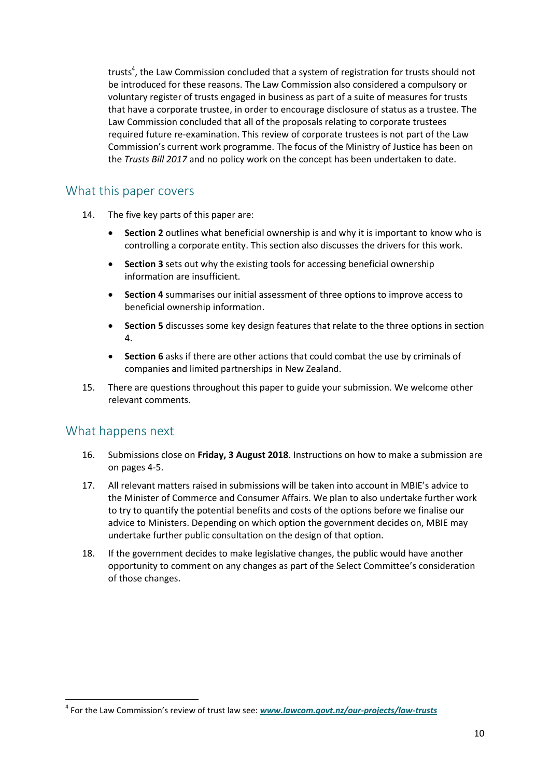trusts<sup>4</sup>, the Law Commission concluded that a system of registration for trusts should not be introduced for these reasons. The Law Commission also considered a compulsory or voluntary register of trusts engaged in business as part of a suite of measures for trusts that have a corporate trustee, in order to encourage disclosure of status as a trustee. The Law Commission concluded that all of the proposals relating to corporate trustees required future re-examination. This review of corporate trustees is not part of the Law Commission's current work programme. The focus of the Ministry of Justice has been on the *Trusts Bill 2017* and no policy work on the concept has been undertaken to date.

### What this paper covers

- 14. The five key parts of this paper are:
	- **Section 2** outlines what beneficial ownership is and why it is important to know who is controlling a corporate entity. This section also discusses the drivers for this work.
	- **Section 3** sets out why the existing tools for accessing beneficial ownership information are insufficient.
	- **Section 4** summarises our initial assessment of three options to improve access to beneficial ownership information.
	- **Section 5** discusses some key design features that relate to the three options in section 4.
	- **Section 6** asks if there are other actions that could combat the use by criminals of companies and limited partnerships in New Zealand.
- 15. There are questions throughout this paper to guide your submission. We welcome other relevant comments.

### What happens next

- 16. Submissions close on **Friday, 3 August 2018**. Instructions on how to make a submission are on pages 4-5.
- 17. All relevant matters raised in submissions will be taken into account in MBIE's advice to the Minister of Commerce and Consumer Affairs. We plan to also undertake further work to try to quantify the potential benefits and costs of the options before we finalise our advice to Ministers. Depending on which option the government decides on, MBIE may undertake further public consultation on the design of that option.
- 18. If the government decides to make legislative changes, the public would have another opportunity to comment on any changes as part of the Select Committee's consideration of those changes.

<sup>4</sup> For the Law Commission's review of trust law see: *[www.lawcom.govt.nz/our-projects/law-trusts](http://www.lawcom.govt.nz/our-projects/law-trusts)*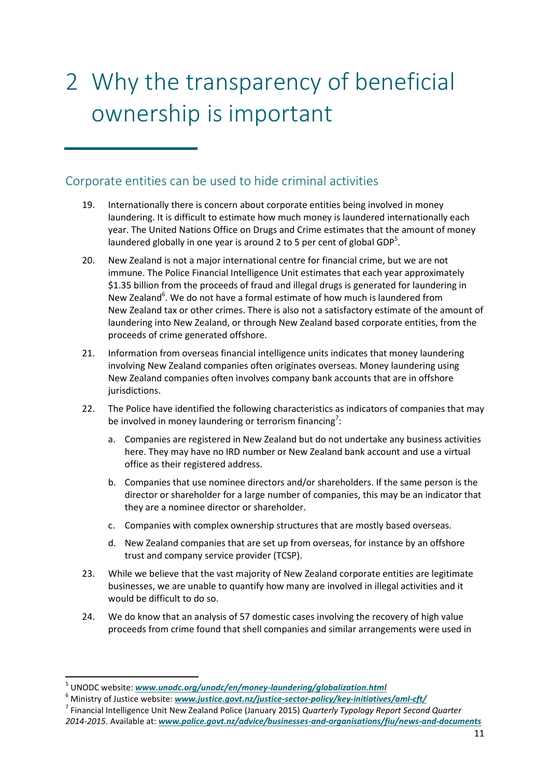# <span id="page-10-0"></span>2 Why the transparency of beneficial ownership is important

## Corporate entities can be used to hide criminal activities

- 19. Internationally there is concern about corporate entities being involved in money laundering. It is difficult to estimate how much money is laundered internationally each year. The United Nations Office on Drugs and Crime estimates that the amount of money laundered globally in one year is around 2 to 5 per cent of global GDP<sup>5</sup>.
- 20. New Zealand is not a major international centre for financial crime, but we are not immune. The Police Financial Intelligence Unit estimates that each year approximately \$1.35 billion from the proceeds of fraud and illegal drugs is generated for laundering in New Zealand<sup>6</sup>. We do not have a formal estimate of how much is laundered from New Zealand tax or other crimes. There is also not a satisfactory estimate of the amount of laundering into New Zealand, or through New Zealand based corporate entities, from the proceeds of crime generated offshore.
- 21. Information from overseas financial intelligence units indicates that money laundering involving New Zealand companies often originates overseas. Money laundering using New Zealand companies often involves company bank accounts that are in offshore jurisdictions.
- 22. The Police have identified the following characteristics as indicators of companies that may be involved in money laundering or terrorism financing<sup>7</sup>:
	- a. Companies are registered in New Zealand but do not undertake any business activities here. They may have no IRD number or New Zealand bank account and use a virtual office as their registered address.
	- b. Companies that use nominee directors and/or shareholders. If the same person is the director or shareholder for a large number of companies, this may be an indicator that they are a nominee director or shareholder.
	- c. Companies with complex ownership structures that are mostly based overseas.
	- d. New Zealand companies that are set up from overseas, for instance by an offshore trust and company service provider (TCSP).
- 23. While we believe that the vast majority of New Zealand corporate entities are legitimate businesses, we are unable to quantify how many are involved in illegal activities and it would be difficult to do so.
- 24. We do know that an analysis of 57 domestic cases involving the recovery of high value proceeds from crime found that shell companies and similar arrangements were used in

<sup>5</sup> UNODC website: *[www.unodc.org/unodc/en/money-laundering/globalization.html](http://www.unodc.org/unodc/en/money-laundering/globalization.html)*

<sup>6</sup> Ministry of Justice website: *[www.justice.govt.nz/justice-sector-policy/key-initiatives/aml-cft/](http://www.justice.govt.nz/justice-sector-policy/key-initiatives/aml-cft/)*

<sup>7</sup> Financial Intelligence Unit New Zealand Police (January 2015) *Quarterly Typology Report Second Quarter 2014-2015*. Available at: *[www.police.govt.nz/advice/businesses-and-organisations/fiu/news-and-documents](http://www.police.govt.nz/advice/businesses-and-organisations/fiu/news-and-documents)*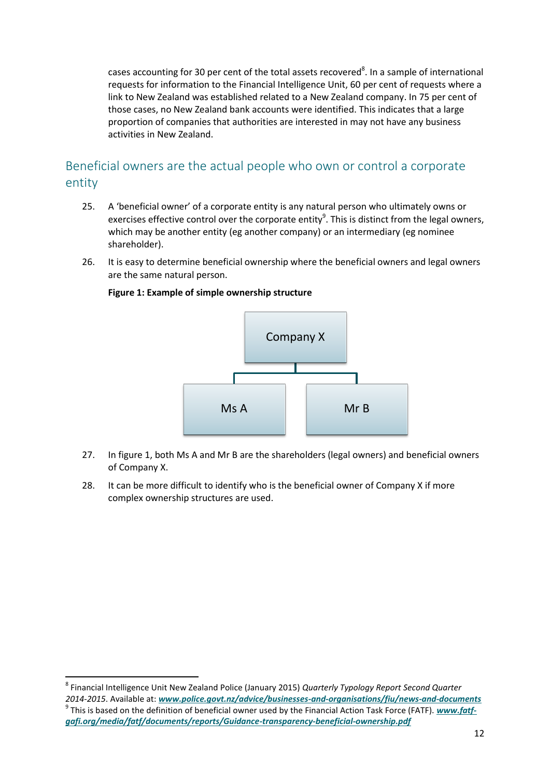cases accounting for 30 per cent of the total assets recovered<sup>8</sup>. In a sample of international requests for information to the Financial Intelligence Unit, 60 per cent of requests where a link to New Zealand was established related to a New Zealand company. In 75 per cent of those cases, no New Zealand bank accounts were identified. This indicates that a large proportion of companies that authorities are interested in may not have any business activities in New Zealand.

## Beneficial owners are the actual people who own or control a corporate entity

- 25. A 'beneficial owner' of a corporate entity is any natural person who ultimately owns or exercises effective control over the corporate entity<sup>9</sup>. This is distinct from the legal owners, exercises effective control over the corporate entity . This is distinct from the legal of<br>which may be another entity (eg another company) or an intermediary (eg nominee<br>charebolder) shareholder).
- 26. It is easy to determine beneficial ownership where the beneficial owners and legal owners are the same natural person.



- 27. In figure 1, both Ms A and Mr B are the shareholders (legal owners) and beneficial owners of Company X.
- 28. It can be more difficult to identify who is the beneficial owner of Company X if more complex ownership structures are used.

<sup>8</sup> Financial Intelligence Unit New Zealand Police (January 2015) *Quarterly Typology Report Second Quarter 2014-2015*. Available at: *[www.police.govt.nz/advice/businesses-and-organisations/fiu/news-and-documents](http://www.police.govt.nz/advice/businesses-and-organisations/fiu/news-and-documents)* 9 This is based on the definition of beneficial owner used by the Financial Action Task Force (FATF). *[www.fatf](http://www.fatf-gafi.org/media/fatf/documents/reports/Guidance-transparency-beneficial-ownership.pdf)[gafi.org/media/fatf/documents/reports/Guidance-transparency-beneficial-ownership.pdf](http://www.fatf-gafi.org/media/fatf/documents/reports/Guidance-transparency-beneficial-ownership.pdf)*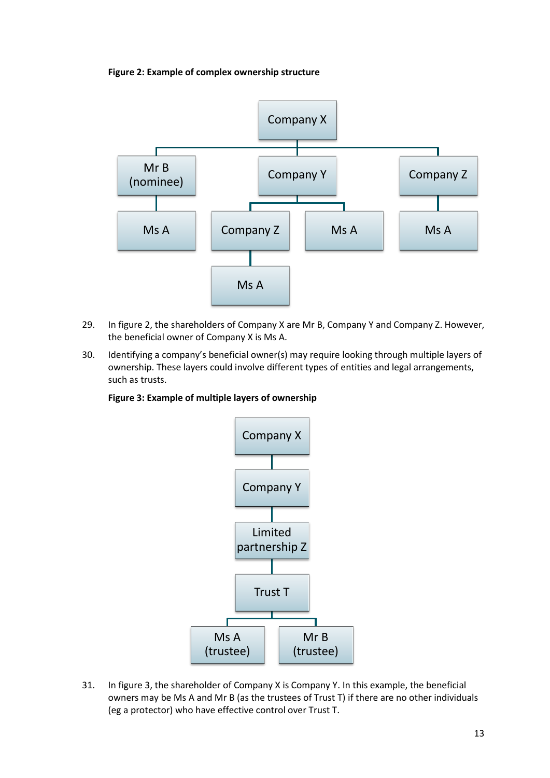#### **Figure 2: Example of complex ownership structure**



- 29. In figure 2, the shareholders of Company X are Mr B, Company Y and Company Z. However, the beneficial owner of Company X is Ms A.
- 30. Identifying a company's beneficial owner(s) may require looking through multiple layers of ownership. These layers could involve different types of entities and legal arrangements, such as trusts.

#### **Figure 3: Example of multiple layers of ownership**



31. In figure 3, the shareholder of Company X is Company Y. In this example, the beneficial owners may be Ms A and Mr B (as the trustees of Trust T) if there are no other individuals (eg a protector) who have effective control over Trust T.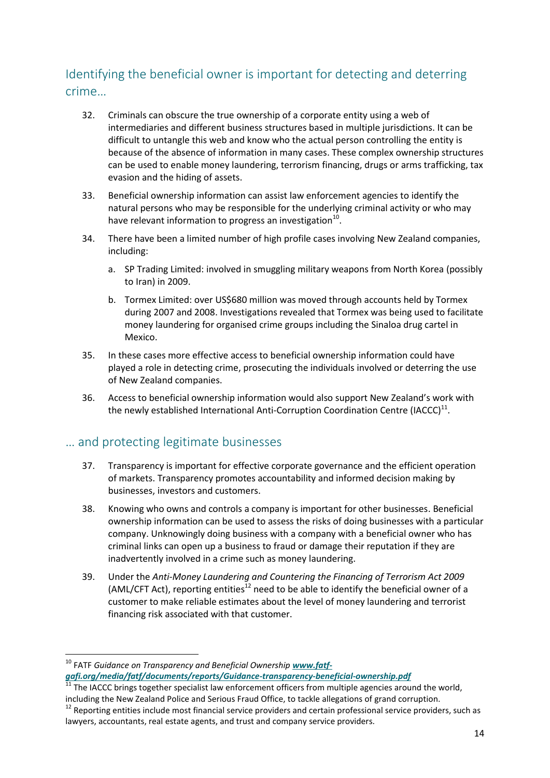## Identifying the beneficial owner is important for detecting and deterring crime…

- 32. Criminals can obscure the true ownership of a corporate entity using a web of intermediaries and different business structures based in multiple jurisdictions. It can be difficult to untangle this web and know who the actual person controlling the entity is because of the absence of information in many cases. These complex ownership structures can be used to enable money laundering, terrorism financing, drugs or arms trafficking, tax evasion and the hiding of assets.
- 33. Beneficial ownership information can assist law enforcement agencies to identify the natural persons who may be responsible for the underlying criminal activity or who may have relevant information to progress an investigation<sup>10</sup>.
- 34. There have been a limited number of high profile cases involving New Zealand companies, including:
	- a. SP Trading Limited: involved in smuggling military weapons from North Korea (possibly to Iran) in 2009.
	- b. Tormex Limited: over US\$680 million was moved through accounts held by Tormex during 2007 and 2008. Investigations revealed that Tormex was being used to facilitate money laundering for organised crime groups including the Sinaloa drug cartel in Mexico.
- 35. In these cases more effective access to beneficial ownership information could have played a role in detecting crime, prosecuting the individuals involved or deterring the use of New Zealand companies.
- 36. Access to beneficial ownership information would also support New Zealand's work with the newly established International Anti-Corruption Coordination Centre (IACCC) $^{11}$ .

## … and protecting legitimate businesses

- 37. Transparency is important for effective corporate governance and the efficient operation of markets. Transparency promotes accountability and informed decision making by businesses, investors and customers.
- 38. Knowing who owns and controls a company is important for other businesses. Beneficial ownership information can be used to assess the risks of doing businesses with a particular company. Unknowingly doing business with a company with a beneficial owner who has criminal links can open up a business to fraud or damage their reputation if they are inadvertently involved in a crime such as money laundering.
- 39. Under the *Anti-Money Laundering and Countering the Financing of Terrorism Act 2009* (AML/CFT Act), reporting entities<sup>12</sup> need to be able to identify the beneficial owner of a customer to make reliable estimates about the level of money laundering and terrorist financing risk associated with that customer.

 $\overline{\phantom{a}}$ <sup>10</sup> FATF *Guidance on Transparency and Beneficial Ownership [www.fatf-](http://www.fatf-gafi.org/media/fatf/documents/reports/Guidance-transparency-beneficial-ownership.pdf)*

*[gafi.org/media/fatf/documents/reports/Guidance-transparency-beneficial-ownership.pdf](http://www.fatf-gafi.org/media/fatf/documents/reports/Guidance-transparency-beneficial-ownership.pdf)*

The IACCC brings together specialist law enforcement officers from multiple agencies around the world, including the New Zealand Police and Serious Fraud Office, to tackle allegations of grand corruption.

<sup>&</sup>lt;sup>12</sup> Reporting entities include most financial service providers and certain professional service providers, such as lawyers, accountants, real estate agents, and trust and company service providers.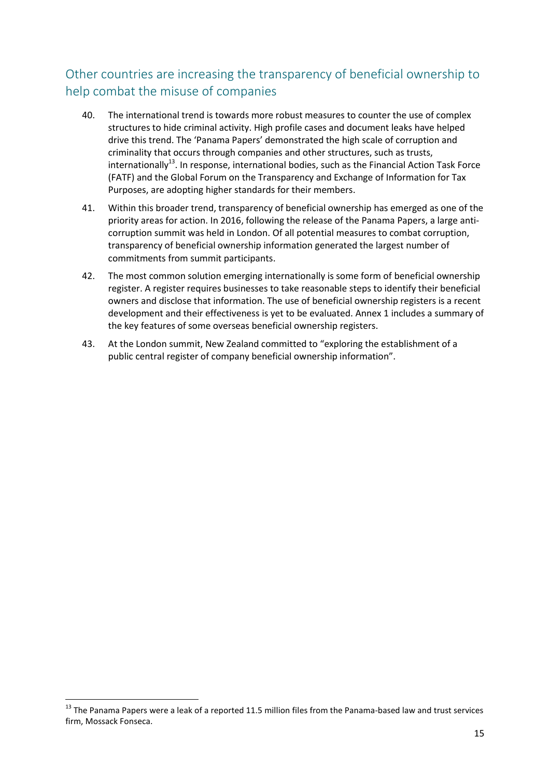## Other countries are increasing the transparency of beneficial ownership to help combat the misuse of companies

- 40. The international trend is towards more robust measures to counter the use of complex structures to hide criminal activity. High profile cases and document leaks have helped drive this trend. The 'Panama Papers' demonstrated the high scale of corruption and criminality that occurs through companies and other structures, such as trusts, internationally<sup>13</sup>. In response, international bodies, such as the Financial Action Task Force (FATF) and the Global Forum on the Transparency and Exchange of Information for Tax Purposes, are adopting higher standards for their members.
- 41. Within this broader trend, transparency of beneficial ownership has emerged as one of the priority areas for action. In 2016, following the release of the Panama Papers, a large anticorruption summit was held in London. Of all potential measures to combat corruption, transparency of beneficial ownership information generated the largest number of commitments from summit participants.
- 42. The most common solution emerging internationally is some form of beneficial ownership register. A register requires businesses to take reasonable steps to identify their beneficial owners and disclose that information. The use of beneficial ownership registers is a recent development and their effectiveness is yet to be evaluated. Annex 1 includes a summary of the key features of some overseas beneficial ownership registers.
- 43. At the London summit, New Zealand committed to "exploring the establishment of a public central register of company beneficial ownership information".

<sup>&</sup>lt;sup>13</sup> The Panama Papers were a leak of a reported 11.5 million files from the Panama-based law and trust services firm, Mossack Fonseca.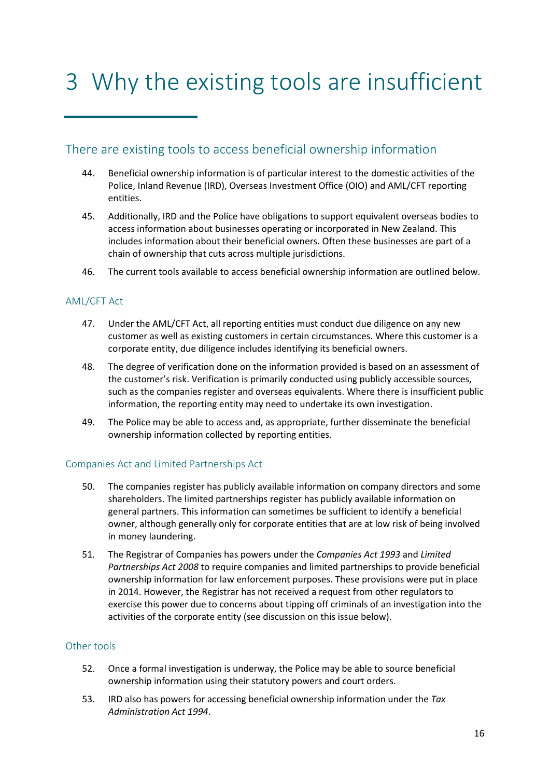# <span id="page-15-0"></span>3 Why the existing tools are insufficient

## There are existing tools to access beneficial ownership information

- 44. Beneficial ownership information is of particular interest to the domestic activities of the Police, Inland Revenue (IRD), Overseas Investment Office (OIO) and AML/CFT reporting entities.
- 45. Additionally, IRD and the Police have obligations to support equivalent overseas bodies to access information about businesses operating or incorporated in New Zealand. This includes information about their beneficial owners. Often these businesses are part of a chain of ownership that cuts across multiple jurisdictions.
- 46. The current tools available to access beneficial ownership information are outlined below.

#### AML/CFT Act

- 47. Under the AML/CFT Act, all reporting entities must conduct due diligence on any new customer as well as existing customers in certain circumstances. Where this customer is a corporate entity, due diligence includes identifying its beneficial owners.
- 48. The degree of verification done on the information provided is based on an assessment of the customer's risk. Verification is primarily conducted using publicly accessible sources, such as the companies register and overseas equivalents. Where there is insufficient public information, the reporting entity may need to undertake its own investigation.
- 49. The Police may be able to access and, as appropriate, further disseminate the beneficial ownership information collected by reporting entities.

#### Companies Act and Limited Partnerships Act

- 50. The companies register has publicly available information on company directors and some shareholders. The limited partnerships register has publicly available information on general partners. This information can sometimes be sufficient to identify a beneficial owner, although generally only for corporate entities that are at low risk of being involved in money laundering.
- 51. The Registrar of Companies has powers under the *Companies Act 1993* and *Limited Partnerships Act 2008* to require companies and limited partnerships to provide beneficial ownership information for law enforcement purposes. These provisions were put in place in 2014. However, the Registrar has not received a request from other regulators to exercise this power due to concerns about tipping off criminals of an investigation into the activities of the corporate entity (see discussion on this issue below).

#### Other tools

- 52. Once a formal investigation is underway, the Police may be able to source beneficial ownership information using their statutory powers and court orders.
- 53. IRD also has powers for accessing beneficial ownership information under the *Tax Administration Act 1994*.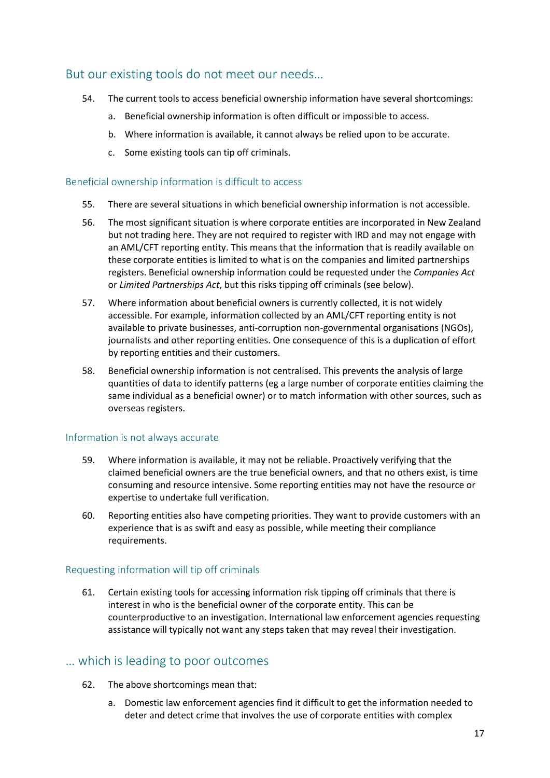## But our existing tools do not meet our needs…

- 54. The current tools to access beneficial ownership information have several shortcomings:
	- a. Beneficial ownership information is often difficult or impossible to access.
	- b. Where information is available, it cannot always be relied upon to be accurate.
	- c. Some existing tools can tip off criminals.

#### Beneficial ownership information is difficult to access

- 55. There are several situations in which beneficial ownership information is not accessible.
- 56. The most significant situation is where corporate entities are incorporated in New Zealand but not trading here. They are not required to register with IRD and may not engage with an AML/CFT reporting entity. This means that the information that is readily available on these corporate entities is limited to what is on the companies and limited partnerships registers. Beneficial ownership information could be requested under the *Companies Act* or *Limited Partnerships Act*, but this risks tipping off criminals (see below).
- 57. Where information about beneficial owners is currently collected, it is not widely accessible. For example, information collected by an AML/CFT reporting entity is not available to private businesses, anti-corruption non-governmental organisations (NGOs), journalists and other reporting entities. One consequence of this is a duplication of effort by reporting entities and their customers.
- 58. Beneficial ownership information is not centralised. This prevents the analysis of large quantities of data to identify patterns (eg a large number of corporate entities claiming the same individual as a beneficial owner) or to match information with other sources, such as overseas registers.

#### Information is not always accurate

- 59. Where information is available, it may not be reliable. Proactively verifying that the claimed beneficial owners are the true beneficial owners, and that no others exist, is time consuming and resource intensive. Some reporting entities may not have the resource or expertise to undertake full verification.
- 60. Reporting entities also have competing priorities. They want to provide customers with an experience that is as swift and easy as possible, while meeting their compliance requirements.

#### Requesting information will tip off criminals

61. Certain existing tools for accessing information risk tipping off criminals that there is interest in who is the beneficial owner of the corporate entity. This can be counterproductive to an investigation. International law enforcement agencies requesting assistance will typically not want any steps taken that may reveal their investigation.

### … which is leading to poor outcomes

- 62. The above shortcomings mean that:
	- a. Domestic law enforcement agencies find it difficult to get the information needed to deter and detect crime that involves the use of corporate entities with complex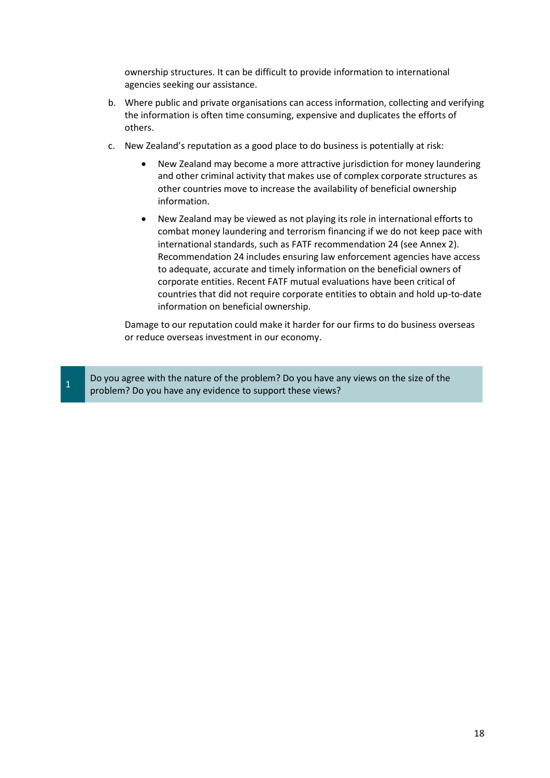ownership structures. It can be difficult to provide information to international agencies seeking our assistance.

- b. Where public and private organisations can access information, collecting and verifying the information is often time consuming, expensive and duplicates the efforts of others.
- c. New Zealand's reputation as a good place to do business is potentially at risk:
	- New Zealand may become a more attractive jurisdiction for money laundering and other criminal activity that makes use of complex corporate structures as other countries move to increase the availability of beneficial ownership information.
	- New Zealand may be viewed as not playing its role in international efforts to combat money laundering and terrorism financing if we do not keep pace with international standards, such as FATF recommendation 24 (see Annex 2). Recommendation 24 includes ensuring law enforcement agencies have access to adequate, accurate and timely information on the beneficial owners of corporate entities. Recent FATF mutual evaluations have been critical of countries that did not require corporate entities to obtain and hold up-to-date information on beneficial ownership.

Damage to our reputation could make it harder for our firms to do business overseas or reduce overseas investment in our economy.

1 Do you agree with the nature of the problem? Do you have any views on the size of the problem? Do you have any evidence to support these views?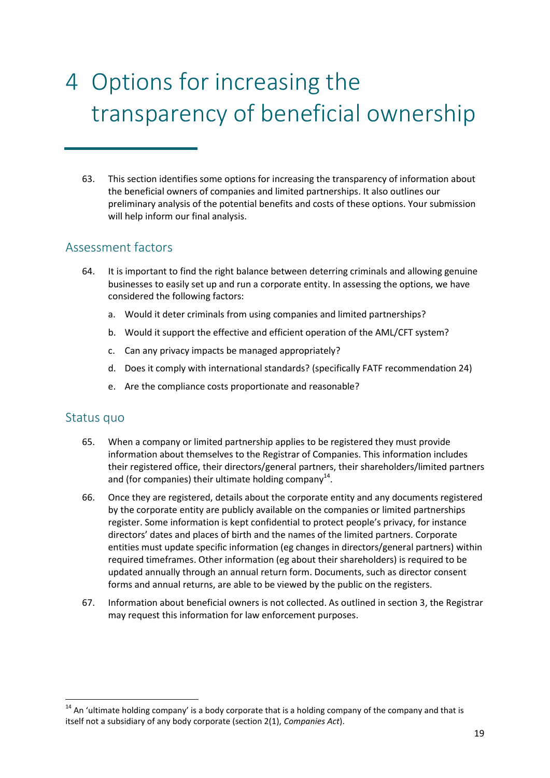# <span id="page-18-0"></span>4 Options for increasing the transparency of beneficial ownership

63. This section identifies some options for increasing the transparency of information about the beneficial owners of companies and limited partnerships. It also outlines our preliminary analysis of the potential benefits and costs of these options. Your submission will help inform our final analysis.

## Assessment factors

- 64. It is important to find the right balance between deterring criminals and allowing genuine businesses to easily set up and run a corporate entity. In assessing the options, we have considered the following factors:
	- a. Would it deter criminals from using companies and limited partnerships?
	- b. Would it support the effective and efficient operation of the AML/CFT system?
	- c. Can any privacy impacts be managed appropriately?
	- d. Does it comply with international standards? (specifically FATF recommendation 24)
	- e. Are the compliance costs proportionate and reasonable?

### Status quo

- 65. When a company or limited partnership applies to be registered they must provide information about themselves to the Registrar of Companies. This information includes their registered office, their directors/general partners, their shareholders/limited partners and (for companies) their ultimate holding company<sup>14</sup>.
- 66. Once they are registered, details about the corporate entity and any documents registered by the corporate entity are publicly available on the companies or limited partnerships register. Some information is kept confidential to protect people's privacy, for instance directors' dates and places of birth and the names of the limited partners. Corporate entities must update specific information (eg changes in directors/general partners) within required timeframes. Other information (eg about their shareholders) is required to be updated annually through an annual return form. Documents, such as director consent forms and annual returns, are able to be viewed by the public on the registers.
- 67. Information about beneficial owners is not collected. As outlined in section 3, the Registrar may request this information for law enforcement purposes.

<sup>&</sup>lt;sup>14</sup> An 'ultimate holding company' is a body corporate that is a holding company of the company and that is itself not a subsidiary of any body corporate (section 2(1), *Companies Act*).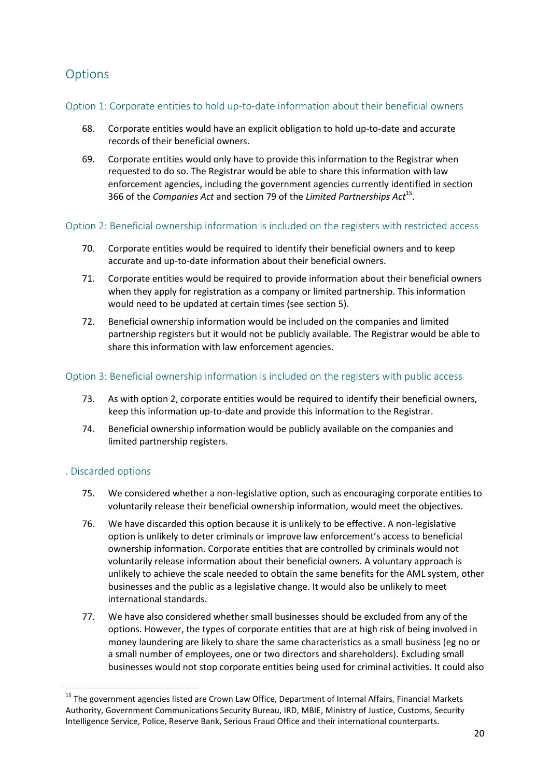## **Options**

#### Option 1: Corporate entities to hold up-to-date information about their beneficial owners

- 68. Corporate entities would have an explicit obligation to hold up-to-date and accurate records of their beneficial owners.
- 69. Corporate entities would only have to provide this information to the Registrar when requested to do so. The Registrar would be able to share this information with law enforcement agencies, including the government agencies currently identified in section 366 of the *Companies Act* and section 79 of the *Limited Partnerships Act*<sup>15</sup> .

#### Option 2: Beneficial ownership information is included on the registers with restricted access

- 70. Corporate entities would be required to identify their beneficial owners and to keep accurate and up-to-date information about their beneficial owners.
- 71. Corporate entities would be required to provide information about their beneficial owners when they apply for registration as a company or limited partnership. This information would need to be updated at certain times (see section 5).
- 72. Beneficial ownership information would be included on the companies and limited partnership registers but it would not be publicly available. The Registrar would be able to share this information with law enforcement agencies.

#### Option 3: Beneficial ownership information is included on the registers with public access

- 73. As with option 2, corporate entities would be required to identify their beneficial owners, keep this information up-to-date and provide this information to the Registrar.
- 74. Beneficial ownership information would be publicly available on the companies and limited partnership registers.

#### . Discarded options

- 75. We considered whether a non-legislative option, such as encouraging corporate entities to voluntarily release their beneficial ownership information, would meet the objectives.
- 76. We have discarded this option because it is unlikely to be effective. A non-legislative option is unlikely to deter criminals or improve law enforcement's access to beneficial ownership information. Corporate entities that are controlled by criminals would not voluntarily release information about their beneficial owners. A voluntary approach is unlikely to achieve the scale needed to obtain the same benefits for the AML system, other businesses and the public as a legislative change. It would also be unlikely to meet international standards.
- 77. We have also considered whether small businesses should be excluded from any of the options. However, the types of corporate entities that are at high risk of being involved in money laundering are likely to share the same characteristics as a small business (eg no or a small number of employees, one or two directors and shareholders). Excluding small businesses would not stop corporate entities being used for criminal activities. It could also

l <sup>15</sup> The government agencies listed are Crown Law Office, Department of Internal Affairs, Financial Markets Authority, Government Communications Security Bureau, IRD, MBIE, Ministry of Justice, Customs, Security Intelligence Service, Police, Reserve Bank, Serious Fraud Office and their international counterparts.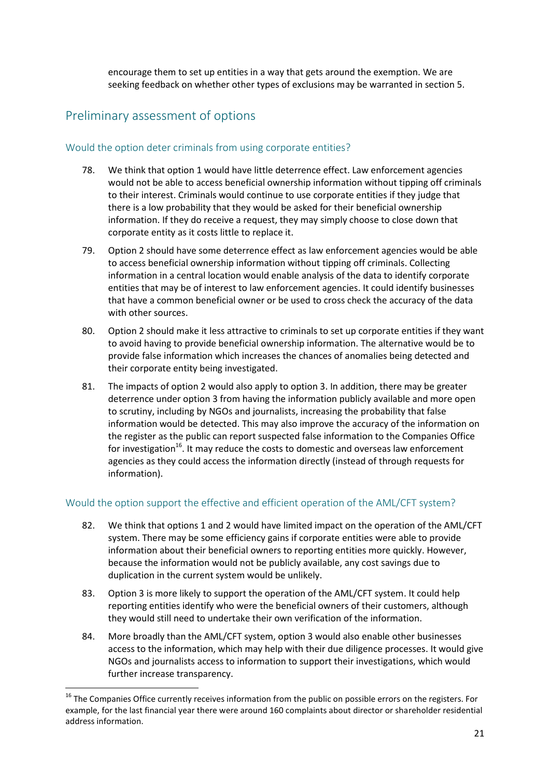encourage them to set up entities in a way that gets around the exemption. We are seeking feedback on whether other types of exclusions may be warranted in section 5.

## Preliminary assessment of options

#### Would the option deter criminals from using corporate entities?

- 78. We think that option 1 would have little deterrence effect. Law enforcement agencies would not be able to access beneficial ownership information without tipping off criminals to their interest. Criminals would continue to use corporate entities if they judge that there is a low probability that they would be asked for their beneficial ownership information. If they do receive a request, they may simply choose to close down that corporate entity as it costs little to replace it.
- 79. Option 2 should have some deterrence effect as law enforcement agencies would be able to access beneficial ownership information without tipping off criminals. Collecting information in a central location would enable analysis of the data to identify corporate entities that may be of interest to law enforcement agencies. It could identify businesses that have a common beneficial owner or be used to cross check the accuracy of the data with other sources
- 80. Option 2 should make it less attractive to criminals to set up corporate entities if they want to avoid having to provide beneficial ownership information. The alternative would be to provide false information which increases the chances of anomalies being detected and their corporate entity being investigated.
- 81. The impacts of option 2 would also apply to option 3. In addition, there may be greater deterrence under option 3 from having the information publicly available and more open to scrutiny, including by NGOs and journalists, increasing the probability that false information would be detected. This may also improve the accuracy of the information on the register as the public can report suspected false information to the Companies Office for investigation<sup>16</sup>. It may reduce the costs to domestic and overseas law enforcement agencies as they could access the information directly (instead of through requests for information).

#### Would the option support the effective and efficient operation of the AML/CFT system?

- 82. We think that options 1 and 2 would have limited impact on the operation of the AML/CFT system. There may be some efficiency gains if corporate entities were able to provide information about their beneficial owners to reporting entities more quickly. However, because the information would not be publicly available, any cost savings due to duplication in the current system would be unlikely.
- 83. Option 3 is more likely to support the operation of the AML/CFT system. It could help reporting entities identify who were the beneficial owners of their customers, although they would still need to undertake their own verification of the information.
- 84. More broadly than the AML/CFT system, option 3 would also enable other businesses access to the information, which may help with their due diligence processes. It would give NGOs and journalists access to information to support their investigations, which would further increase transparency.

l <sup>16</sup> The Companies Office currently receives information from the public on possible errors on the registers. For example, for the last financial year there were around 160 complaints about director or shareholder residential address information.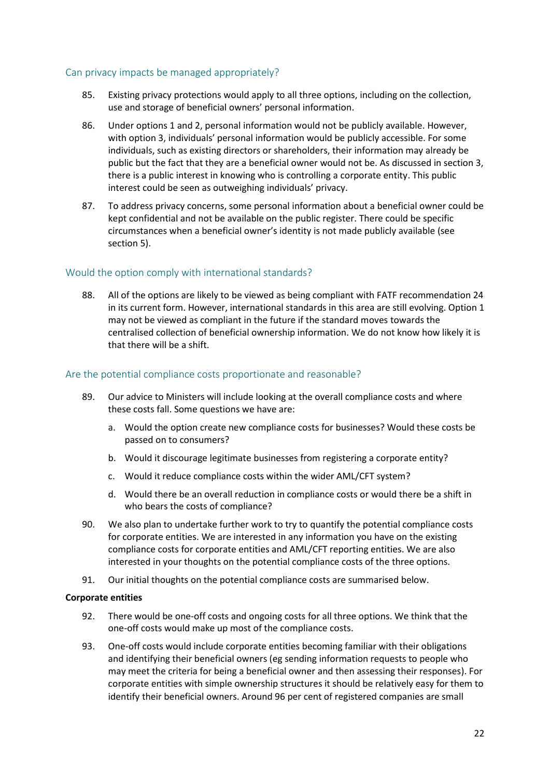#### Can privacy impacts be managed appropriately?

- 85. Existing privacy protections would apply to all three options, including on the collection, use and storage of beneficial owners' personal information.
- 86. Under options 1 and 2, personal information would not be publicly available. However, with option 3, individuals' personal information would be publicly accessible. For some individuals, such as existing directors or shareholders, their information may already be public but the fact that they are a beneficial owner would not be. As discussed in section 3, there is a public interest in knowing who is controlling a corporate entity. This public interest could be seen as outweighing individuals' privacy.
- 87. To address privacy concerns, some personal information about a beneficial owner could be kept confidential and not be available on the public register. There could be specific circumstances when a beneficial owner's identity is not made publicly available (see section 5).

#### Would the option comply with international standards?

88. All of the options are likely to be viewed as being compliant with FATF recommendation 24 in its current form. However, international standards in this area are still evolving. Option 1 may not be viewed as compliant in the future if the standard moves towards the centralised collection of beneficial ownership information. We do not know how likely it is that there will be a shift.

#### Are the potential compliance costs proportionate and reasonable?

- 89. Our advice to Ministers will include looking at the overall compliance costs and where these costs fall. Some questions we have are:
	- a. Would the option create new compliance costs for businesses? Would these costs be passed on to consumers?
	- b. Would it discourage legitimate businesses from registering a corporate entity?
	- c. Would it reduce compliance costs within the wider AML/CFT system?
	- d. Would there be an overall reduction in compliance costs or would there be a shift in who bears the costs of compliance?
- 90. We also plan to undertake further work to try to quantify the potential compliance costs for corporate entities. We are interested in any information you have on the existing compliance costs for corporate entities and AML/CFT reporting entities. We are also interested in your thoughts on the potential compliance costs of the three options.
- 91. Our initial thoughts on the potential compliance costs are summarised below.

#### **Corporate entities**

- 92. There would be one-off costs and ongoing costs for all three options. We think that the one-off costs would make up most of the compliance costs.
- 93. One-off costs would include corporate entities becoming familiar with their obligations and identifying their beneficial owners (eg sending information requests to people who may meet the criteria for being a beneficial owner and then assessing their responses). For corporate entities with simple ownership structures it should be relatively easy for them to identify their beneficial owners. Around 96 per cent of registered companies are small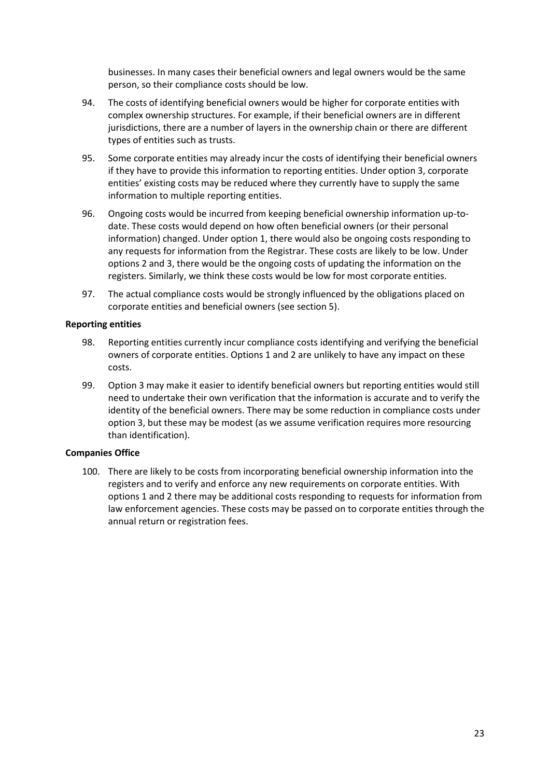businesses. In many cases their beneficial owners and legal owners would be the same person, so their compliance costs should be low.

- 94. The costs of identifying beneficial owners would be higher for corporate entities with complex ownership structures. For example, if their beneficial owners are in different jurisdictions, there are a number of layers in the ownership chain or there are different types of entities such as trusts.
- 95. Some corporate entities may already incur the costs of identifying their beneficial owners if they have to provide this information to reporting entities. Under option 3, corporate entities' existing costs may be reduced where they currently have to supply the same information to multiple reporting entities.
- 96. Ongoing costs would be incurred from keeping beneficial ownership information up-todate. These costs would depend on how often beneficial owners (or their personal information) changed. Under option 1, there would also be ongoing costs responding to any requests for information from the Registrar. These costs are likely to be low. Under options 2 and 3, there would be the ongoing costs of updating the information on the registers. Similarly, we think these costs would be low for most corporate entities.
- 97. The actual compliance costs would be strongly influenced by the obligations placed on corporate entities and beneficial owners (see section 5).

#### **Reporting entities**

- 98. Reporting entities currently incur compliance costs identifying and verifying the beneficial owners of corporate entities. Options 1 and 2 are unlikely to have any impact on these costs.
- 99. Option 3 may make it easier to identify beneficial owners but reporting entities would still need to undertake their own verification that the information is accurate and to verify the identity of the beneficial owners. There may be some reduction in compliance costs under option 3, but these may be modest (as we assume verification requires more resourcing than identification).

#### **Companies Office**

100. There are likely to be costs from incorporating beneficial ownership information into the registers and to verify and enforce any new requirements on corporate entities. With options 1 and 2 there may be additional costs responding to requests for information from law enforcement agencies. These costs may be passed on to corporate entities through the annual return or registration fees.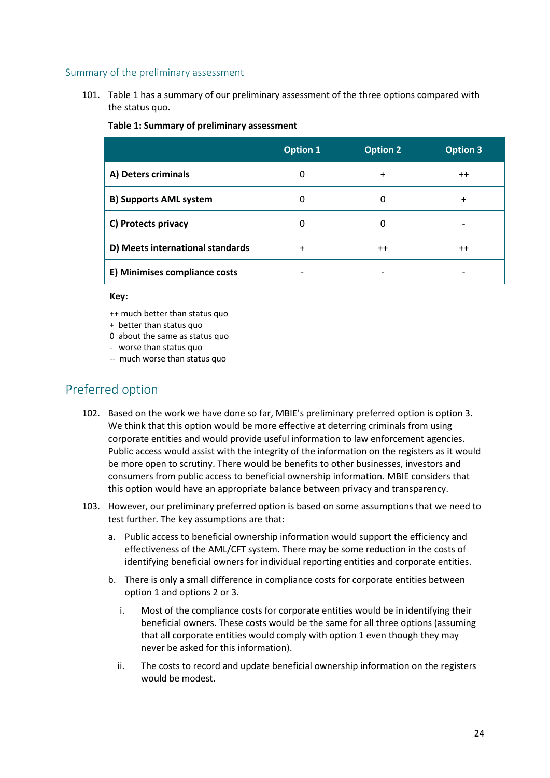#### Summary of the preliminary assessment

101. Table 1 has a summary of our preliminary assessment of the three options compared with the status quo.

#### **Table 1: Summary of preliminary assessment**

|                                  | <b>Option 1</b> | <b>Option 2</b> | <b>Option 3</b> |
|----------------------------------|-----------------|-----------------|-----------------|
| A) Deters criminals              | 0               | $\ddot{}$       | $++$            |
| <b>B) Supports AML system</b>    | 0               | 0               | $\ddot{}$       |
| C) Protects privacy              | 0               | 0               |                 |
| D) Meets international standards | $\div$          | $^{++}$         | $++$            |
| E) Minimises compliance costs    |                 |                 |                 |

#### **Key:**

++ much better than status quo

- + better than status quo
- 0 about the same as status quo
- worse than status quo
- -- much worse than status quo

## Preferred option

- 102. Based on the work we have done so far, MBIE's preliminary preferred option is option 3. We think that this option would be more effective at deterring criminals from using corporate entities and would provide useful information to law enforcement agencies. Public access would assist with the integrity of the information on the registers as it would be more open to scrutiny. There would be benefits to other businesses, investors and consumers from public access to beneficial ownership information. MBIE considers that this option would have an appropriate balance between privacy and transparency.
- 103. However, our preliminary preferred option is based on some assumptions that we need to test further. The key assumptions are that:
	- a. Public access to beneficial ownership information would support the efficiency and effectiveness of the AML/CFT system. There may be some reduction in the costs of identifying beneficial owners for individual reporting entities and corporate entities.
	- b. There is only a small difference in compliance costs for corporate entities between option 1 and options 2 or 3.
		- i. Most of the compliance costs for corporate entities would be in identifying their beneficial owners. These costs would be the same for all three options (assuming that all corporate entities would comply with option 1 even though they may never be asked for this information).
		- ii. The costs to record and update beneficial ownership information on the registers would be modest.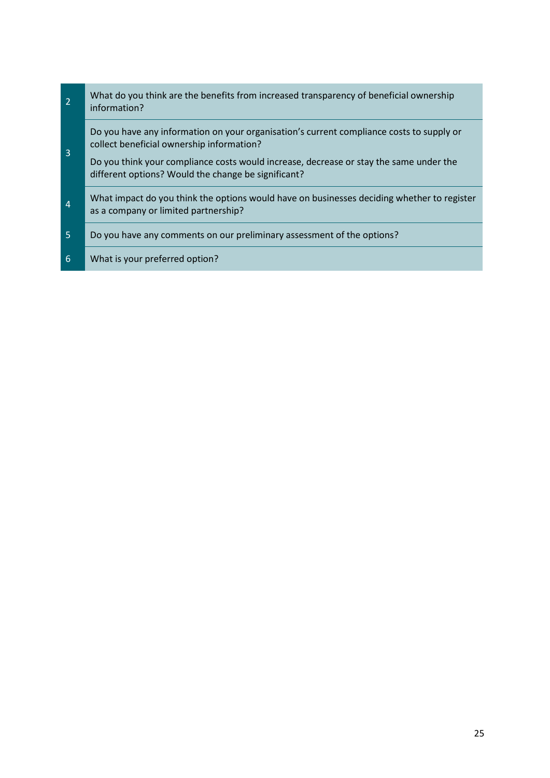| 2              | What do you think are the benefits from increased transparency of beneficial ownership<br>information?                                        |
|----------------|-----------------------------------------------------------------------------------------------------------------------------------------------|
| 3              | Do you have any information on your organisation's current compliance costs to supply or<br>collect beneficial ownership information?         |
|                | Do you think your compliance costs would increase, decrease or stay the same under the<br>different options? Would the change be significant? |
| $\overline{4}$ | What impact do you think the options would have on businesses deciding whether to register<br>as a company or limited partnership?            |
| 5              | Do you have any comments on our preliminary assessment of the options?                                                                        |
| 6              | What is your preferred option?                                                                                                                |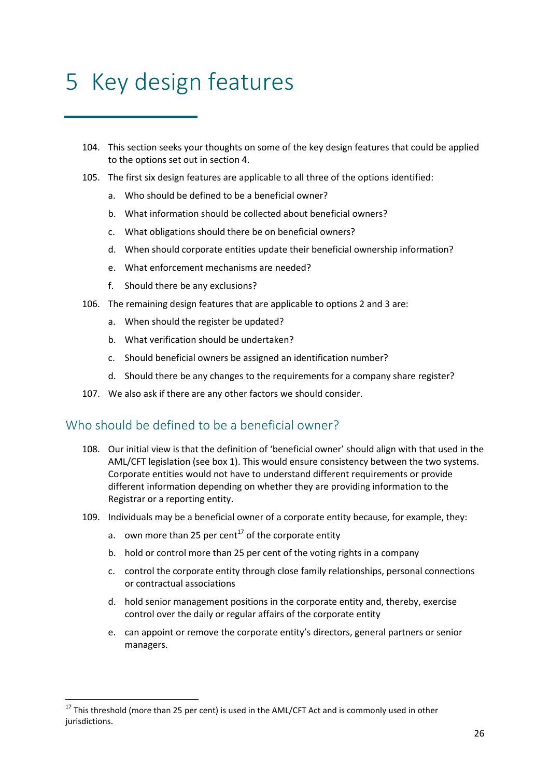## <span id="page-25-0"></span>5 Key design features

- 104. This section seeks your thoughts on some of the key design features that could be applied to the options set out in section 4.
- 105. The first six design features are applicable to all three of the options identified:
	- a. Who should be defined to be a beneficial owner?
	- b. What information should be collected about beneficial owners?
	- c. What obligations should there be on beneficial owners?
	- d. When should corporate entities update their beneficial ownership information?
	- e. What enforcement mechanisms are needed?
	- f. Should there be any exclusions?
- 106. The remaining design features that are applicable to options 2 and 3 are:
	- a. When should the register be updated?
	- b. What verification should be undertaken?
	- c. Should beneficial owners be assigned an identification number?
	- d. Should there be any changes to the requirements for a company share register?
- 107. We also ask if there are any other factors we should consider.

### Who should be defined to be a beneficial owner?

- 108. Our initial view is that the definition of 'beneficial owner' should align with that used in the AML/CFT legislation (see box 1). This would ensure consistency between the two systems. Corporate entities would not have to understand different requirements or provide different information depending on whether they are providing information to the Registrar or a reporting entity.
- 109. Individuals may be a beneficial owner of a corporate entity because, for example, they:
	- a. own more than 25 per cent<sup>17</sup> of the corporate entity
	- b. hold or control more than 25 per cent of the voting rights in a company
	- c. control the corporate entity through close family relationships, personal connections or contractual associations
	- d. hold senior management positions in the corporate entity and, thereby, exercise control over the daily or regular affairs of the corporate entity
	- e. can appoint or remove the corporate entity's directors, general partners or senior managers.

<sup>&</sup>lt;sup>17</sup> This threshold (more than 25 per cent) is used in the AML/CFT Act and is commonly used in other jurisdictions.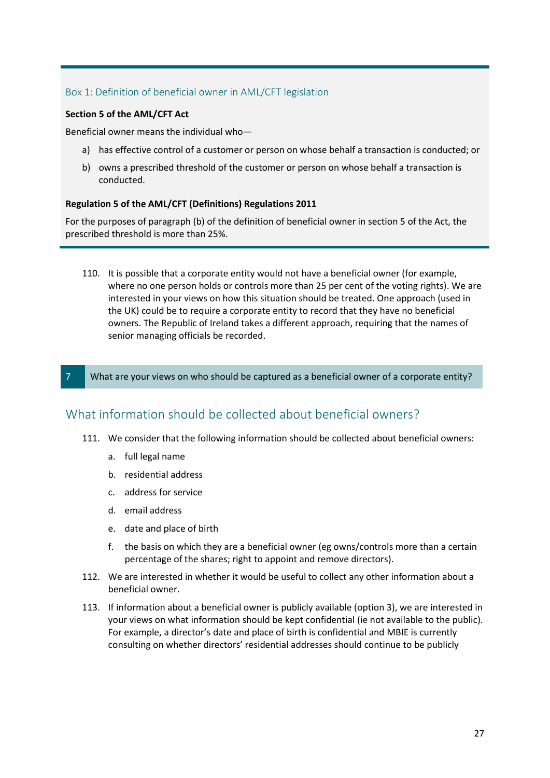#### Box 1: Definition of beneficial owner in AML/CFT legislation

#### **Section 5 of the AML/CFT Act**

Beneficial owner means the individual who—

- a) has effective control of a customer or person on whose behalf a transaction is conducted; or
- b) owns a prescribed threshold of the customer or person on whose behalf a transaction is conducted.

#### **Regulation 5 of the AML/CFT (Definitions) Regulations 2011**

For the purposes of paragraph (b) of the definition of beneficial owner in [section 5](http://www.legislation.govt.nz/regulation/public/2011/0222/latest/link.aspx?id=DLM2140727#DLM2140727) of the Act, the prescribed threshold is more than 25%.

- 110. It is possible that a corporate entity would not have a beneficial owner (for example, where no one person holds or controls more than 25 per cent of the voting rights). We are interested in your views on how this situation should be treated. One approach (used in the UK) could be to require a corporate entity to record that they have no beneficial owners. The Republic of Ireland takes a different approach, requiring that the names of senior managing officials be recorded.
- 7 What are your views on who should be captured as a beneficial owner of a corporate entity?

### What information should be collected about beneficial owners?

- 111. We consider that the following information should be collected about beneficial owners:
	- a. full legal name
	- b. residential address
	- c. address for service
	- d. email address
	- e. date and place of birth
	- f. the basis on which they are a beneficial owner (eg owns/controls more than a certain percentage of the shares; right to appoint and remove directors).
- 112. We are interested in whether it would be useful to collect any other information about a beneficial owner.
- 113. If information about a beneficial owner is publicly available (option 3), we are interested in your views on what information should be kept confidential (ie not available to the public). For example, a director's date and place of birth is confidential and MBIE is currently consulting on whether directors' residential addresses should continue to be publicly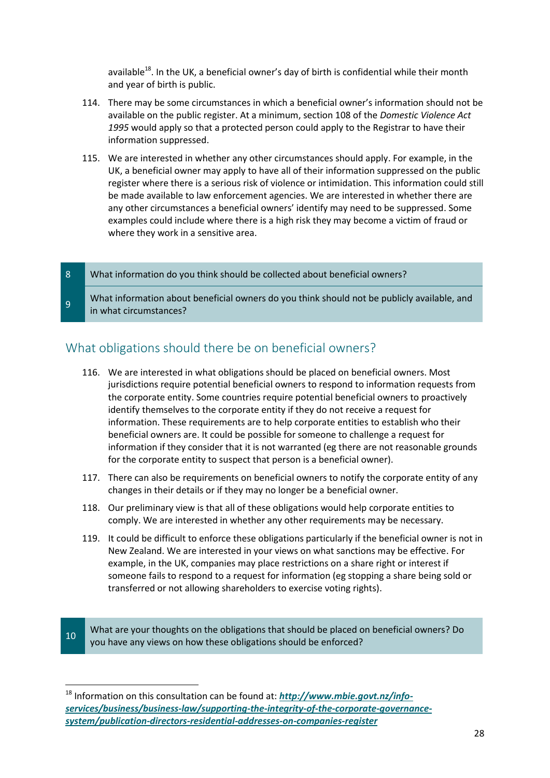available<sup>18</sup>. In the UK, a beneficial owner's day of birth is confidential while their month and year of birth is public.

- 114. There may be some circumstances in which a beneficial owner's information should not be available on the public register. At a minimum, section 108 of the *Domestic Violence Act 1995* would apply so that a protected person could apply to the Registrar to have their information suppressed.
- 115. We are interested in whether any other circumstances should apply. For example, in the UK, a beneficial owner may apply to have all of their information suppressed on the public register where there is a serious risk of violence or intimidation. This information could still be made available to law enforcement agencies. We are interested in whether there are any other circumstances a beneficial owners' identify may need to be suppressed. Some examples could include where there is a high risk they may become a victim of fraud or where they work in a sensitive area.

8 What information do you think should be collected about beneficial owners?

9 What information about beneficial owners do you think should not be publicly available, and in what circumstances?

## What obligations should there be on beneficial owners?

- 116. We are interested in what obligations should be placed on beneficial owners. Most jurisdictions require potential beneficial owners to respond to information requests from the corporate entity. Some countries require potential beneficial owners to proactively identify themselves to the corporate entity if they do not receive a request for information. These requirements are to help corporate entities to establish who their beneficial owners are. It could be possible for someone to challenge a request for information if they consider that it is not warranted (eg there are not reasonable grounds for the corporate entity to suspect that person is a beneficial owner).
- 117. There can also be requirements on beneficial owners to notify the corporate entity of any changes in their details or if they may no longer be a beneficial owner.
- 118. Our preliminary view is that all of these obligations would help corporate entities to comply. We are interested in whether any other requirements may be necessary.
- 119. It could be difficult to enforce these obligations particularly if the beneficial owner is not in New Zealand. We are interested in your views on what sanctions may be effective. For example, in the UK, companies may place restrictions on a share right or interest if someone fails to respond to a request for information (eg stopping a share being sold or transferred or not allowing shareholders to exercise voting rights).

10 What are your thoughts on the obligations that should be placed on beneficial owners? Do you have any views on how these obligations should be enforced?

<sup>18</sup> Information on this consultation can be found at: *[http://www.mbie.govt.nz/info](http://www.mbie.govt.nz/info-services/business/business-law/supporting-the-integrity-of-the-corporate-governance-system/publication-directors-residential-addresses-on-companies-register)[services/business/business-law/supporting-the-integrity-of-the-corporate-governance](http://www.mbie.govt.nz/info-services/business/business-law/supporting-the-integrity-of-the-corporate-governance-system/publication-directors-residential-addresses-on-companies-register)[system/publication-directors-residential-addresses-on-companies-register](http://www.mbie.govt.nz/info-services/business/business-law/supporting-the-integrity-of-the-corporate-governance-system/publication-directors-residential-addresses-on-companies-register)*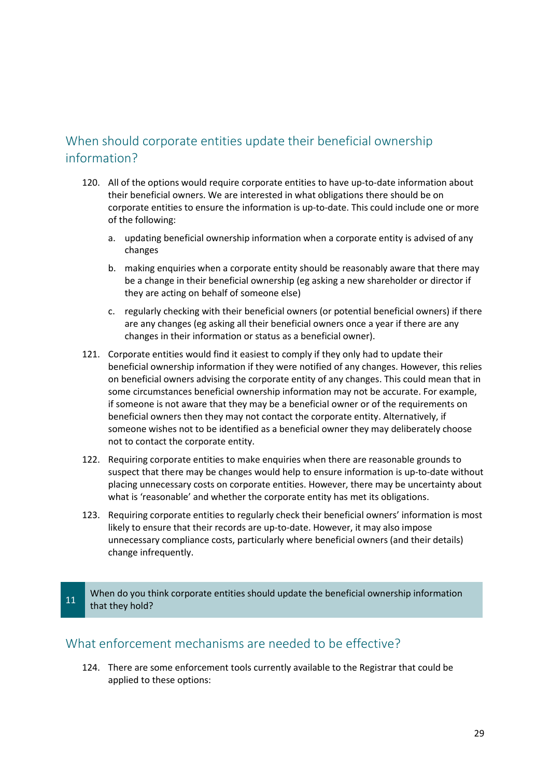## When should corporate entities update their beneficial ownership information?

- 120. All of the options would require corporate entities to have up-to-date information about their beneficial owners. We are interested in what obligations there should be on corporate entities to ensure the information is up-to-date. This could include one or more of the following:
	- a. updating beneficial ownership information when a corporate entity is advised of any changes
	- b. making enquiries when a corporate entity should be reasonably aware that there may be a change in their beneficial ownership (eg asking a new shareholder or director if they are acting on behalf of someone else)
	- c. regularly checking with their beneficial owners (or potential beneficial owners) if there are any changes (eg asking all their beneficial owners once a year if there are any changes in their information or status as a beneficial owner).
- 121. Corporate entities would find it easiest to comply if they only had to update their beneficial ownership information if they were notified of any changes. However, this relies on beneficial owners advising the corporate entity of any changes. This could mean that in some circumstances beneficial ownership information may not be accurate. For example, if someone is not aware that they may be a beneficial owner or of the requirements on beneficial owners then they may not contact the corporate entity. Alternatively, if someone wishes not to be identified as a beneficial owner they may deliberately choose not to contact the corporate entity.
- 122. Requiring corporate entities to make enquiries when there are reasonable grounds to suspect that there may be changes would help to ensure information is up-to-date without placing unnecessary costs on corporate entities. However, there may be uncertainty about what is 'reasonable' and whether the corporate entity has met its obligations.
- 123. Requiring corporate entities to regularly check their beneficial owners' information is most likely to ensure that their records are up-to-date. However, it may also impose unnecessary compliance costs, particularly where beneficial owners (and their details) change infrequently.

11 When do you think corporate entities should update the beneficial ownership information that they hold?

### What enforcement mechanisms are needed to be effective?

124. There are some enforcement tools currently available to the Registrar that could be applied to these options: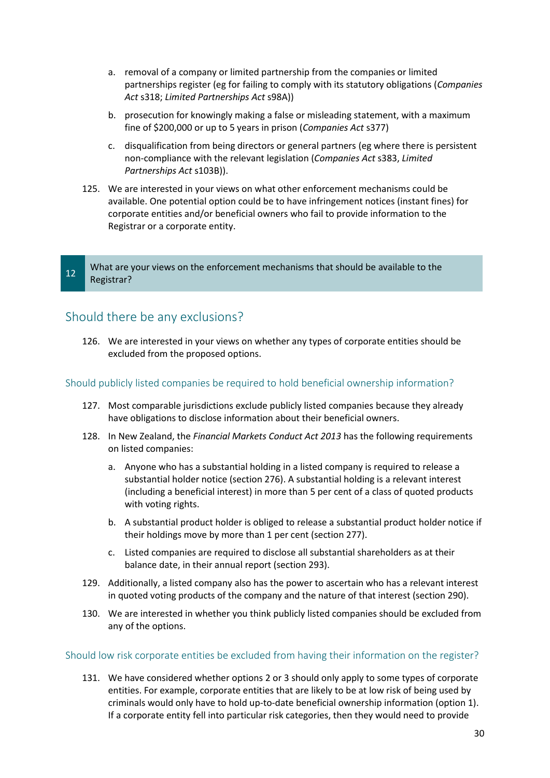- a. removal of a company or limited partnership from the companies or limited partnerships register (eg for failing to comply with its statutory obligations (*Companies Act* s318; *Limited Partnerships Act* s98A))
- b. prosecution for knowingly making a false or misleading statement, with a maximum fine of \$200,000 or up to 5 years in prison (*Companies Act* s377)
- c. disqualification from being directors or general partners (eg where there is persistent non-compliance with the relevant legislation (*Companies Act* s383, *Limited Partnerships Act* s103B)).
- 125. We are interested in your views on what other enforcement mechanisms could be available. One potential option could be to have infringement notices (instant fines) for corporate entities and/or beneficial owners who fail to provide information to the Registrar or a corporate entity.

#### 12 What are your views on the enforcement mechanisms that should be available to the Registrar?

## Should there be any exclusions?

126. We are interested in your views on whether any types of corporate entities should be excluded from the proposed options.

#### Should publicly listed companies be required to hold beneficial ownership information?

- 127. Most comparable jurisdictions exclude publicly listed companies because they already have obligations to disclose information about their beneficial owners.
- 128. In New Zealand, the *Financial Markets Conduct Act 2013* has the following requirements on listed companies:
	- a. Anyone who has a substantial holding in a listed company is required to release a substantial holder notice (section 276). A substantial holding is a relevant interest (including a beneficial interest) in more than 5 per cent of a class of quoted products with voting rights.
	- b. A substantial product holder is obliged to release a substantial product holder notice if their holdings move by more than 1 per cent (section 277).
	- c. Listed companies are required to disclose all substantial shareholders as at their balance date, in their annual report (section 293).
- 129. Additionally, a listed company also has the power to ascertain who has a relevant interest in quoted voting products of the company and the nature of that interest (section 290).
- 130. We are interested in whether you think publicly listed companies should be excluded from any of the options.

#### Should low risk corporate entities be excluded from having their information on the register?

131. We have considered whether options 2 or 3 should only apply to some types of corporate entities. For example, corporate entities that are likely to be at low risk of being used by criminals would only have to hold up-to-date beneficial ownership information (option 1). If a corporate entity fell into particular risk categories, then they would need to provide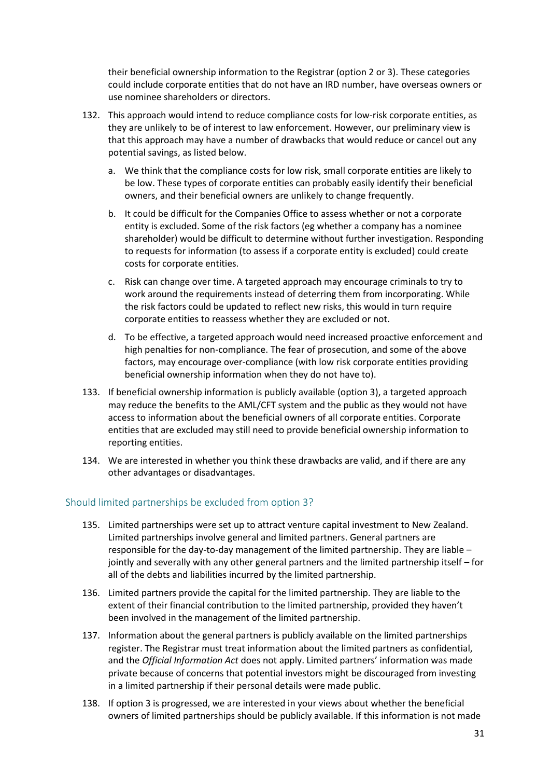their beneficial ownership information to the Registrar (option 2 or 3). These categories could include corporate entities that do not have an IRD number, have overseas owners or use nominee shareholders or directors.

- 132. This approach would intend to reduce compliance costs for low-risk corporate entities, as they are unlikely to be of interest to law enforcement. However, our preliminary view is that this approach may have a number of drawbacks that would reduce or cancel out any potential savings, as listed below.
	- a. We think that the compliance costs for low risk, small corporate entities are likely to be low. These types of corporate entities can probably easily identify their beneficial owners, and their beneficial owners are unlikely to change frequently.
	- b. It could be difficult for the Companies Office to assess whether or not a corporate entity is excluded. Some of the risk factors (eg whether a company has a nominee shareholder) would be difficult to determine without further investigation. Responding to requests for information (to assess if a corporate entity is excluded) could create costs for corporate entities.
	- c. Risk can change over time. A targeted approach may encourage criminals to try to work around the requirements instead of deterring them from incorporating. While the risk factors could be updated to reflect new risks, this would in turn require corporate entities to reassess whether they are excluded or not.
	- d. To be effective, a targeted approach would need increased proactive enforcement and high penalties for non-compliance. The fear of prosecution, and some of the above factors, may encourage over-compliance (with low risk corporate entities providing beneficial ownership information when they do not have to).
- 133. If beneficial ownership information is publicly available (option 3), a targeted approach may reduce the benefits to the AML/CFT system and the public as they would not have access to information about the beneficial owners of all corporate entities. Corporate entities that are excluded may still need to provide beneficial ownership information to reporting entities.
- 134. We are interested in whether you think these drawbacks are valid, and if there are any other advantages or disadvantages.

#### Should limited partnerships be excluded from option 3?

- 135. Limited partnerships were set up to attract venture capital investment to New Zealand. Limited partnerships involve general and limited partners. General partners are responsible for the day-to-day management of the limited partnership. They are liable – jointly and severally with any other general partners and the limited partnership itself – for all of the debts and liabilities incurred by the limited partnership.
- 136. Limited partners provide the capital for the limited partnership. They are liable to the extent of their financial contribution to the limited partnership, provided they haven't been involved in the management of the limited partnership.
- 137. Information about the general partners is publicly available on the limited partnerships register. The Registrar must treat information about the limited partners as confidential, and the *Official Information Act* does not apply. Limited partners' information was made private because of concerns that potential investors might be discouraged from investing in a limited partnership if their personal details were made public.
- 138. If option 3 is progressed, we are interested in your views about whether the beneficial owners of limited partnerships should be publicly available. If this information is not made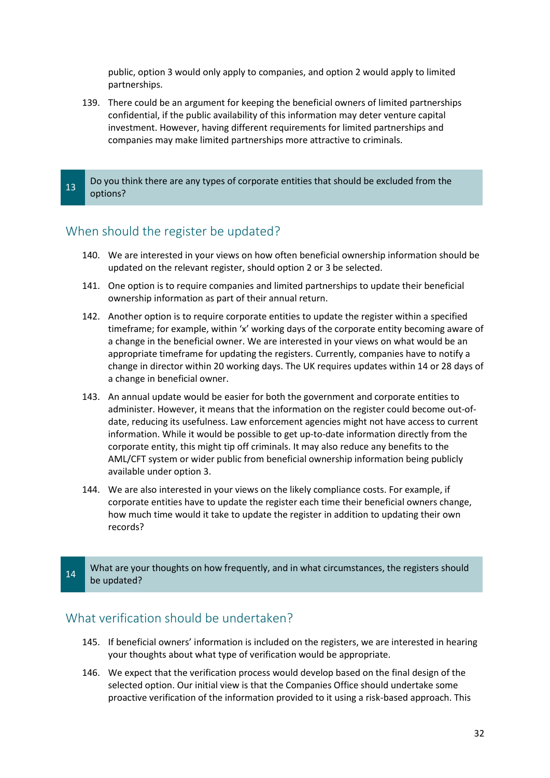public, option 3 would only apply to companies, and option 2 would apply to limited partnerships.

139. There could be an argument for keeping the beneficial owners of limited partnerships confidential, if the public availability of this information may deter venture capital investment. However, having different requirements for limited partnerships and companies may make limited partnerships more attractive to criminals.

#### 13 Do you think there are any types of corporate entities that should be excluded from the options?

## When should the register be updated?

- 140. We are interested in your views on how often beneficial ownership information should be updated on the relevant register, should option 2 or 3 be selected.
- 141. One option is to require companies and limited partnerships to update their beneficial ownership information as part of their annual return.
- 142. Another option is to require corporate entities to update the register within a specified timeframe; for example, within 'x' working days of the corporate entity becoming aware of a change in the beneficial owner. We are interested in your views on what would be an appropriate timeframe for updating the registers. Currently, companies have to notify a change in director within 20 working days. The UK requires updates within 14 or 28 days of a change in beneficial owner.
- 143. An annual update would be easier for both the government and corporate entities to administer. However, it means that the information on the register could become out-ofdate, reducing its usefulness. Law enforcement agencies might not have access to current information. While it would be possible to get up-to-date information directly from the corporate entity, this might tip off criminals. It may also reduce any benefits to the AML/CFT system or wider public from beneficial ownership information being publicly available under option 3.
- 144. We are also interested in your views on the likely compliance costs. For example, if corporate entities have to update the register each time their beneficial owners change, how much time would it take to update the register in addition to updating their own records?

#### 14 What are your thoughts on how frequently, and in what circumstances, the registers should be updated?

## What verification should be undertaken?

- 145. If beneficial owners' information is included on the registers, we are interested in hearing your thoughts about what type of verification would be appropriate.
- 146. We expect that the verification process would develop based on the final design of the selected option. Our initial view is that the Companies Office should undertake some proactive verification of the information provided to it using a risk-based approach. This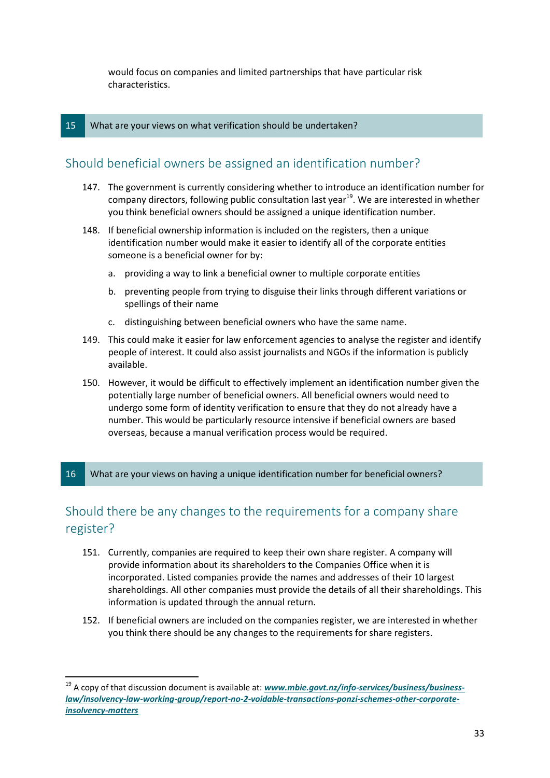would focus on companies and limited partnerships that have particular risk characteristics.

#### 15 What are your views on what verification should be undertaken?

## Should beneficial owners be assigned an identification number?

- 147. The government is currently considering whether to introduce an identification number for company directors, following public consultation last year<sup>19</sup>. We are interested in whether you think beneficial owners should be assigned a unique identification number.
- 148. If beneficial ownership information is included on the registers, then a unique identification number would make it easier to identify all of the corporate entities someone is a beneficial owner for by:
	- a. providing a way to link a beneficial owner to multiple corporate entities
	- b. preventing people from trying to disguise their links through different variations or spellings of their name
	- c. distinguishing between beneficial owners who have the same name.
- 149. This could make it easier for law enforcement agencies to analyse the register and identify people of interest. It could also assist journalists and NGOs if the information is publicly available.
- 150. However, it would be difficult to effectively implement an identification number given the potentially large number of beneficial owners. All beneficial owners would need to undergo some form of identity verification to ensure that they do not already have a number. This would be particularly resource intensive if beneficial owners are based overseas, because a manual verification process would be required.

#### 16 What are your views on having a unique identification number for beneficial owners?

## Should there be any changes to the requirements for a company share register?

- 151. Currently, companies are required to keep their own share register. A company will provide information about its shareholders to the Companies Office when it is incorporated. Listed companies provide the names and addresses of their 10 largest shareholdings. All other companies must provide the details of all their shareholdings. This information is updated through the annual return.
- 152. If beneficial owners are included on the companies register, we are interested in whether you think there should be any changes to the requirements for share registers.

<sup>&</sup>lt;sup>19</sup> A copy of that discussion document is available at: **[www.mbie.govt.nz/info-services/business/business](http://www.mbie.govt.nz/info-services/business/business-law/insolvency-law-working-group/report-no-2-voidable-transactions-ponzi-schemes-other-corporate-insolvency-matters)***[law/insolvency-law-working-group/report-no-2-voidable-transactions-ponzi-schemes-other-corporate](http://www.mbie.govt.nz/info-services/business/business-law/insolvency-law-working-group/report-no-2-voidable-transactions-ponzi-schemes-other-corporate-insolvency-matters)[insolvency-matters](http://www.mbie.govt.nz/info-services/business/business-law/insolvency-law-working-group/report-no-2-voidable-transactions-ponzi-schemes-other-corporate-insolvency-matters)*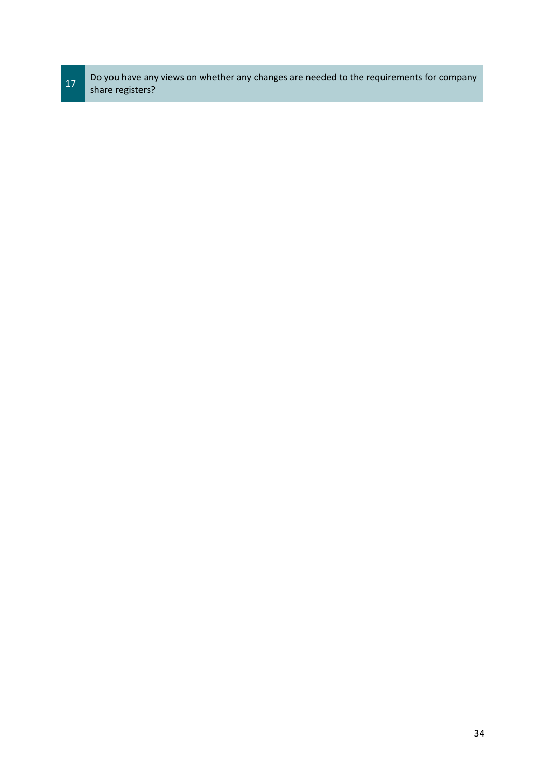17 Do you have any views on whether any changes are needed to the requirements for company<br>characteristics? share registers?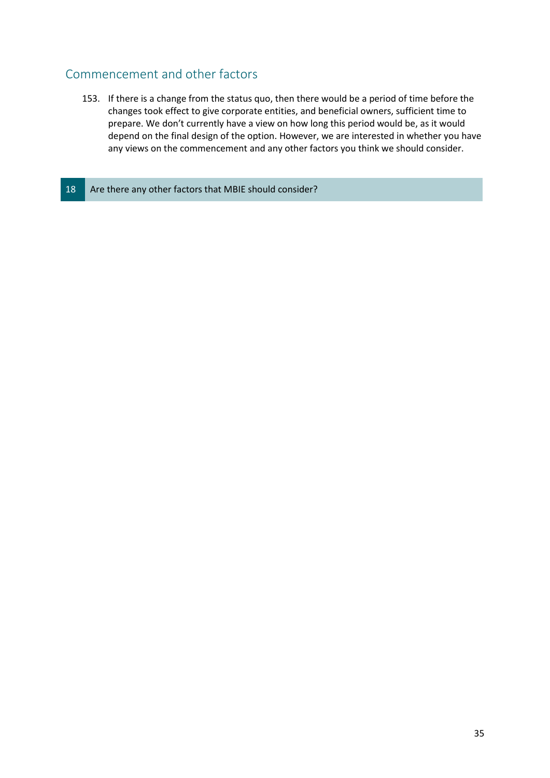## Commencement and other factors

153. If there is a change from the status quo, then there would be a period of time before the changes took effect to give corporate entities, and beneficial owners, sufficient time to prepare. We don't currently have a view on how long this period would be, as it would depend on the final design of the option. However, we are interested in whether you have any views on the commencement and any other factors you think we should consider.

#### 18 Are there any other factors that MBIE should consider?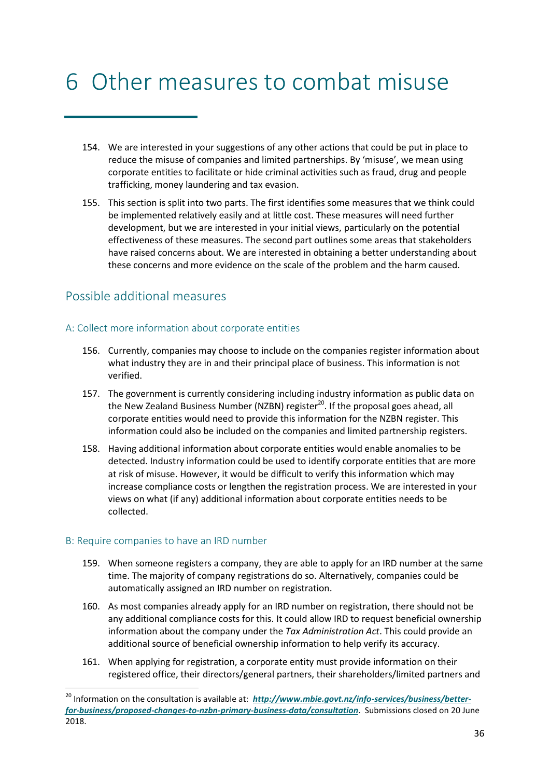## <span id="page-35-0"></span>6 Other measures to combat misuse

- 154. We are interested in your suggestions of any other actions that could be put in place to reduce the misuse of companies and limited partnerships. By 'misuse', we mean using corporate entities to facilitate or hide criminal activities such as fraud, drug and people trafficking, money laundering and tax evasion.
- 155. This section is split into two parts. The first identifies some measures that we think could be implemented relatively easily and at little cost. These measures will need further development, but we are interested in your initial views, particularly on the potential effectiveness of these measures. The second part outlines some areas that stakeholders have raised concerns about. We are interested in obtaining a better understanding about these concerns and more evidence on the scale of the problem and the harm caused.

## Possible additional measures

### A: Collect more information about corporate entities

- 156. Currently, companies may choose to include on the companies register information about what industry they are in and their principal place of business. This information is not verified.
- 157. The government is currently considering including industry information as public data on the New Zealand Business Number (NZBN) register<sup>20</sup>. If the proposal goes ahead, all corporate entities would need to provide this information for the NZBN register. This information could also be included on the companies and limited partnership registers.
- 158. Having additional information about corporate entities would enable anomalies to be detected. Industry information could be used to identify corporate entities that are more at risk of misuse. However, it would be difficult to verify this information which may increase compliance costs or lengthen the registration process. We are interested in your views on what (if any) additional information about corporate entities needs to be collected.

#### B: Require companies to have an IRD number

l

- 159. When someone registers a company, they are able to apply for an IRD number at the same time. The majority of company registrations do so. Alternatively, companies could be automatically assigned an IRD number on registration.
- 160. As most companies already apply for an IRD number on registration, there should not be any additional compliance costs for this. It could allow IRD to request beneficial ownership information about the company under the *Tax Administration Act*. This could provide an additional source of beneficial ownership information to help verify its accuracy.
- 161. When applying for registration, a corporate entity must provide information on their registered office, their directors/general partners, their shareholders/limited partners and

<sup>&</sup>lt;sup>20</sup> Information on the consultation is available at: [http://www.mbie.govt.nz/info-services/business/better](http://www.mbie.govt.nz/info-services/business/better-for-business/proposed-changes-to-nzbn-primary-business-data/consultation)*[for-business/proposed-changes-to-nzbn-primary-business-data/consultation](http://www.mbie.govt.nz/info-services/business/better-for-business/proposed-changes-to-nzbn-primary-business-data/consultation)*. Submissions closed on 20 June 2018.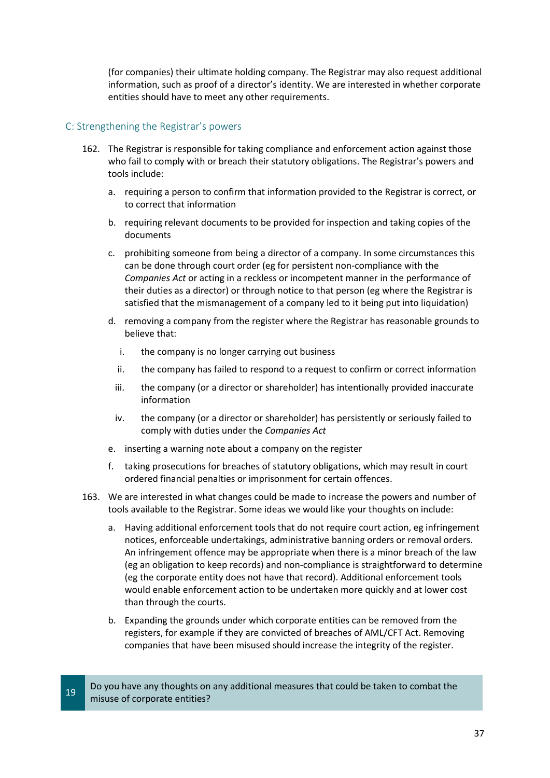(for companies) their ultimate holding company. The Registrar may also request additional information, such as proof of a director's identity. We are interested in whether corporate entities should have to meet any other requirements.

#### C: Strengthening the Registrar's powers

- 162. The Registrar is responsible for taking compliance and enforcement action against those who fail to comply with or breach their statutory obligations. The Registrar's powers and tools include:
	- a. requiring a person to confirm that information provided to the Registrar is correct, or to correct that information
	- b. requiring relevant documents to be provided for inspection and taking copies of the documents
	- c. prohibiting someone from being a director of a company. In some circumstances this can be done through court order (eg for persistent non-compliance with the *Companies Act* or acting in a reckless or incompetent manner in the performance of their duties as a director) or through notice to that person (eg where the Registrar is satisfied that the mismanagement of a company led to it being put into liquidation)
	- d. removing a company from the register where the Registrar has reasonable grounds to believe that:
		- i. the company is no longer carrying out business
		- ii. the company has failed to respond to a request to confirm or correct information
		- iii. the company (or a director or shareholder) has intentionally provided inaccurate information
		- iv. the company (or a director or shareholder) has persistently or seriously failed to comply with duties under the *Companies Act*
	- e. inserting a warning note about a company on the register
	- f. taking prosecutions for breaches of statutory obligations, which may result in court ordered financial penalties or imprisonment for certain offences.
- 163. We are interested in what changes could be made to increase the powers and number of tools available to the Registrar. Some ideas we would like your thoughts on include:
	- a. Having additional enforcement tools that do not require court action, eg infringement notices, enforceable undertakings, administrative banning orders or removal orders. An infringement offence may be appropriate when there is a minor breach of the law (eg an obligation to keep records) and non-compliance is straightforward to determine (eg the corporate entity does not have that record). Additional enforcement tools would enable enforcement action to be undertaken more quickly and at lower cost than through the courts.
	- b. Expanding the grounds under which corporate entities can be removed from the registers, for example if they are convicted of breaches of AML/CFT Act. Removing companies that have been misused should increase the integrity of the register.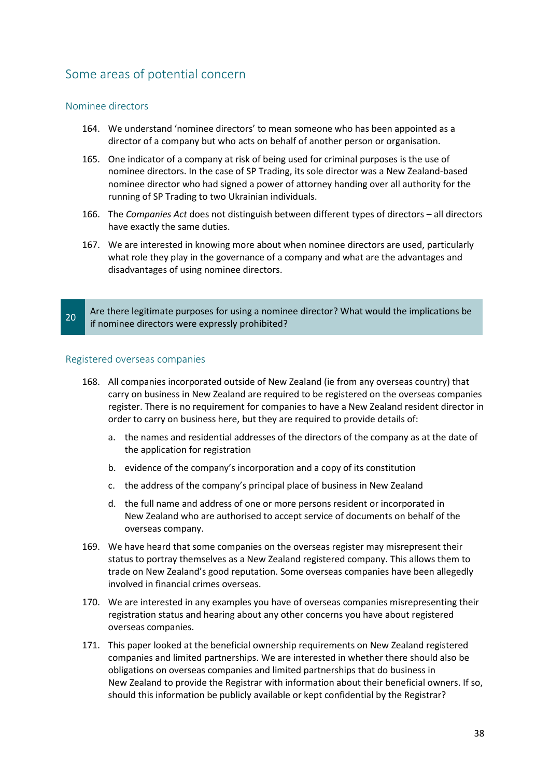## Some areas of potential concern

#### Nominee directors

- 164. We understand 'nominee directors' to mean someone who has been appointed as a director of a company but who acts on behalf of another person or organisation.
- 165. One indicator of a company at risk of being used for criminal purposes is the use of nominee directors. In the case of SP Trading, its sole director was a New Zealand-based nominee director who had signed a power of attorney handing over all authority for the running of SP Trading to two Ukrainian individuals.
- 166. The *Companies Act* does not distinguish between different types of directors all directors have exactly the same duties.
- 167. We are interested in knowing more about when nominee directors are used, particularly what role they play in the governance of a company and what are the advantages and disadvantages of using nominee directors.

#### 20 Are there legitimate purposes for using a nominee director? What would the implications be if nominee directors were expressly prohibited?

#### Registered overseas companies

- 168. All companies incorporated outside of New Zealand (ie from any overseas country) that carry on business in New Zealand are required to be registered on the overseas companies register. There is no requirement for companies to have a New Zealand resident director in order to carry on business here, but they are required to provide details of:
	- a. the names and residential addresses of the directors of the company as at the date of the application for registration
	- b. evidence of the company's incorporation and a copy of its constitution
	- c. the address of the company's principal place of business in New Zealand
	- d. the full name and address of one or more persons resident or incorporated in New Zealand who are authorised to accept service of documents on behalf of the overseas company.
- 169. We have heard that some companies on the overseas register may misrepresent their status to portray themselves as a New Zealand registered company. This allows them to trade on New Zealand's good reputation. Some overseas companies have been allegedly involved in financial crimes overseas.
- 170. We are interested in any examples you have of overseas companies misrepresenting their registration status and hearing about any other concerns you have about registered overseas companies.
- 171. This paper looked at the beneficial ownership requirements on New Zealand registered companies and limited partnerships. We are interested in whether there should also be obligations on overseas companies and limited partnerships that do business in New Zealand to provide the Registrar with information about their beneficial owners. If so, should this information be publicly available or kept confidential by the Registrar?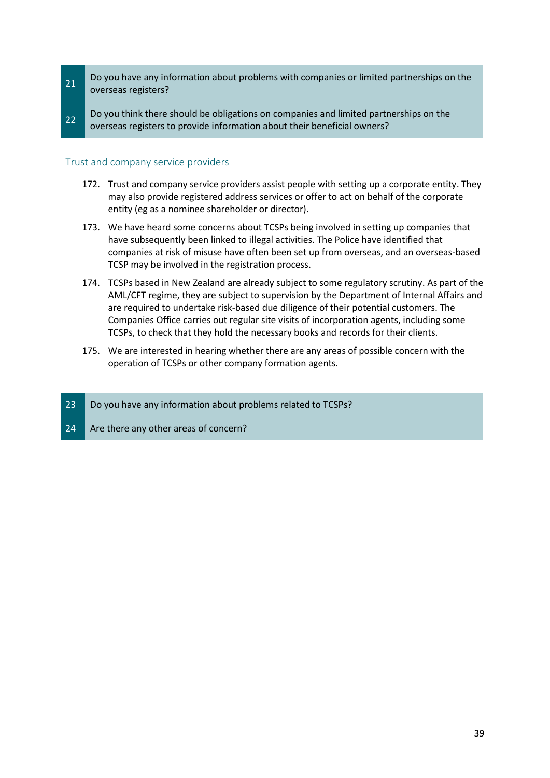- 21 Do you have any information about problems with companies or limited partnerships on the overseas registers?
- 22 Do you think there should be obligations on companies and limited partnerships on the overseas registers to provide information about their beneficial owners?

#### Trust and company service providers

- 172. Trust and company service providers assist people with setting up a corporate entity. They may also provide registered address services or offer to act on behalf of the corporate entity (eg as a nominee shareholder or director).
- 173. We have heard some concerns about TCSPs being involved in setting up companies that have subsequently been linked to illegal activities. The Police have identified that companies at risk of misuse have often been set up from overseas, and an overseas-based TCSP may be involved in the registration process.
- 174. TCSPs based in New Zealand are already subject to some regulatory scrutiny. As part of the AML/CFT regime, they are subject to supervision by the Department of Internal Affairs and are required to undertake risk-based due diligence of their potential customers. The Companies Office carries out regular site visits of incorporation agents, including some TCSPs, to check that they hold the necessary books and records for their clients.
- 175. We are interested in hearing whether there are any areas of possible concern with the operation of TCSPs or other company formation agents.
- 23 Do you have any information about problems related to TCSPs?
- 24 Are there any other areas of concern?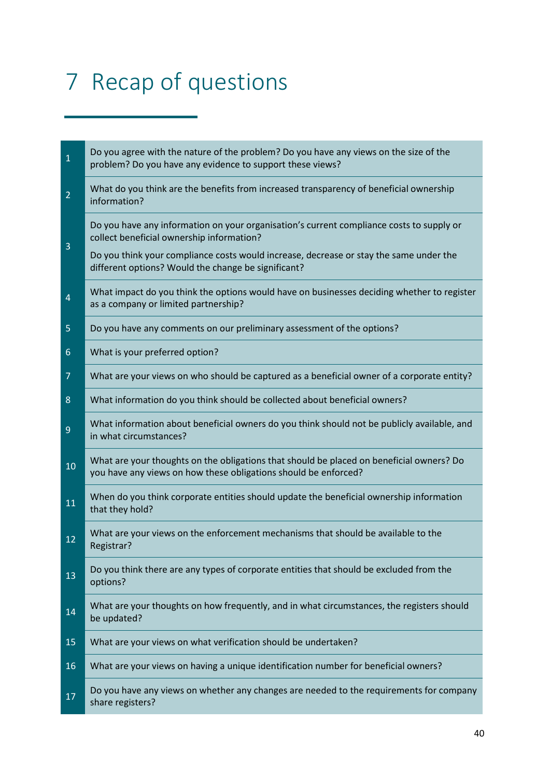# <span id="page-39-0"></span>7 Recap of questions

| $\mathbf 1$    | Do you agree with the nature of the problem? Do you have any views on the size of the<br>problem? Do you have any evidence to support these views?                                                                                                                                     |
|----------------|----------------------------------------------------------------------------------------------------------------------------------------------------------------------------------------------------------------------------------------------------------------------------------------|
| $\overline{2}$ | What do you think are the benefits from increased transparency of beneficial ownership<br>information?                                                                                                                                                                                 |
| 3              | Do you have any information on your organisation's current compliance costs to supply or<br>collect beneficial ownership information?<br>Do you think your compliance costs would increase, decrease or stay the same under the<br>different options? Would the change be significant? |
| $\overline{4}$ | What impact do you think the options would have on businesses deciding whether to register<br>as a company or limited partnership?                                                                                                                                                     |
| 5              | Do you have any comments on our preliminary assessment of the options?                                                                                                                                                                                                                 |
| $6\phantom{1}$ | What is your preferred option?                                                                                                                                                                                                                                                         |
| $\overline{7}$ | What are your views on who should be captured as a beneficial owner of a corporate entity?                                                                                                                                                                                             |
| 8              | What information do you think should be collected about beneficial owners?                                                                                                                                                                                                             |
| 9              | What information about beneficial owners do you think should not be publicly available, and<br>in what circumstances?                                                                                                                                                                  |
| 10             | What are your thoughts on the obligations that should be placed on beneficial owners? Do<br>you have any views on how these obligations should be enforced?                                                                                                                            |
| 11             | When do you think corporate entities should update the beneficial ownership information<br>that they hold?                                                                                                                                                                             |
| 12             | What are your views on the enforcement mechanisms that should be available to the<br>Registrar?                                                                                                                                                                                        |
| 13             | Do you think there are any types of corporate entities that should be excluded from the<br>options?                                                                                                                                                                                    |
| 14             | What are your thoughts on how frequently, and in what circumstances, the registers should<br>be updated?                                                                                                                                                                               |
| 15             | What are your views on what verification should be undertaken?                                                                                                                                                                                                                         |
| 16             | What are your views on having a unique identification number for beneficial owners?                                                                                                                                                                                                    |
| 17             | Do you have any views on whether any changes are needed to the requirements for company<br>share registers?                                                                                                                                                                            |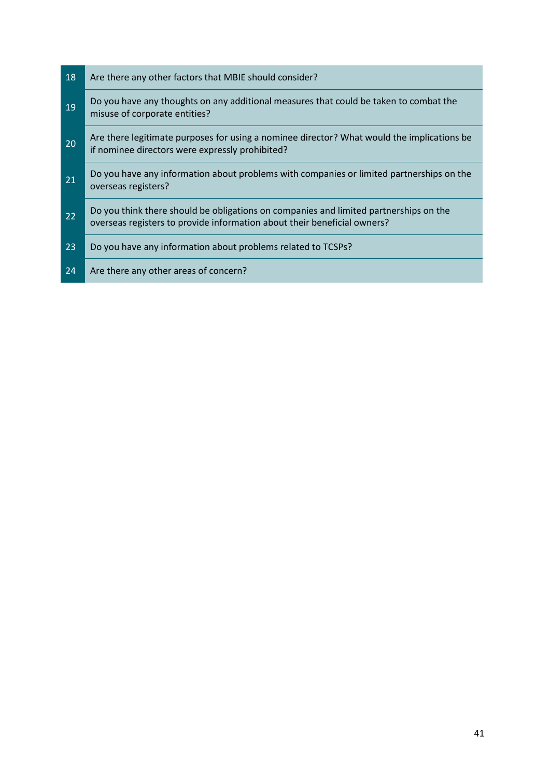| 18 | Are there any other factors that MBIE should consider?                                                                                                            |
|----|-------------------------------------------------------------------------------------------------------------------------------------------------------------------|
| 19 | Do you have any thoughts on any additional measures that could be taken to combat the<br>misuse of corporate entities?                                            |
| 20 | Are there legitimate purposes for using a nominee director? What would the implications be<br>if nominee directors were expressly prohibited?                     |
| 21 | Do you have any information about problems with companies or limited partnerships on the<br>overseas registers?                                                   |
| 22 | Do you think there should be obligations on companies and limited partnerships on the<br>overseas registers to provide information about their beneficial owners? |
| 23 | Do you have any information about problems related to TCSPs?                                                                                                      |
| 24 | Are there any other areas of concern?                                                                                                                             |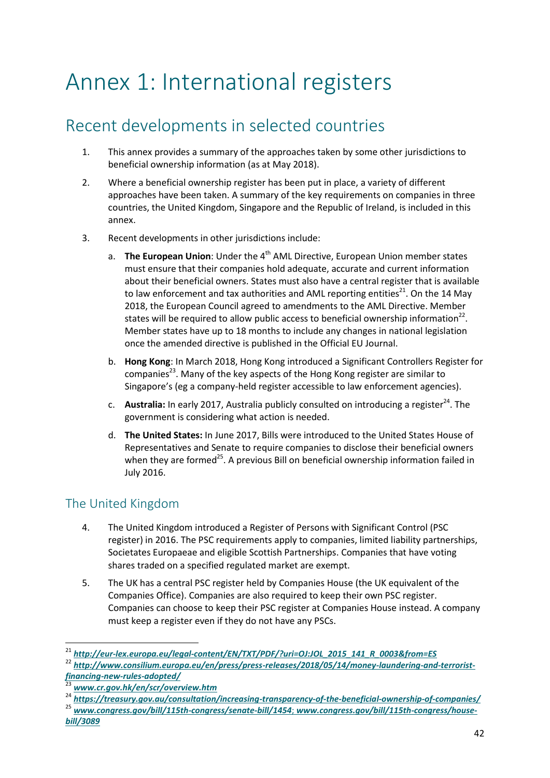## <span id="page-41-0"></span>Annex 1: International registers

## Recent developments in selected countries

- 1. This annex provides a summary of the approaches taken by some other jurisdictions to beneficial ownership information (as at May 2018).
- 2. Where a beneficial ownership register has been put in place, a variety of different approaches have been taken. A summary of the key requirements on companies in three countries, the United Kingdom, Singapore and the Republic of Ireland, is included in this annex.
- 3. Recent developments in other jurisdictions include:
	- a. **The European Union**: Under the 4<sup>th</sup> AML Directive, European Union member states must ensure that their companies hold adequate, accurate and current information about their beneficial owners. States must also have a central register that is available to law enforcement and tax authorities and AML reporting entities<sup>21</sup>. On the 14 May 2018, the European Council agreed to amendments to the AML Directive. Member states will be required to allow public access to beneficial ownership information<sup>22</sup>. Member states have up to 18 months to include any changes in national legislation once the amended directive is published in the Official EU Journal.
	- b. **Hong Kong**: In March 2018, Hong Kong introduced a Significant Controllers Register for companies<sup>23</sup>. Many of the key aspects of the Hong Kong register are similar to Singapore's (eg a company-held register accessible to law enforcement agencies).
	- c. **Australia:** In early 2017, Australia publicly consulted on introducing a register<sup>24</sup>. The government is considering what action is needed.
	- d. **The United States:** In June 2017, Bills were introduced to the United States House of Representatives and Senate to require companies to disclose their beneficial owners when they are formed<sup>25</sup>. A previous Bill on beneficial ownership information failed in July 2016.

## The United Kingdom

 $\overline{a}$ 

- 4. The United Kingdom introduced a Register of Persons with Significant Control (PSC register) in 2016. The PSC requirements apply to companies, limited liability partnerships, Societates Europaeae and eligible Scottish Partnerships. Companies that have voting shares traded on a specified regulated market are exempt.
- 5. The UK has a central PSC register held by Companies House (the UK equivalent of the Companies Office). Companies are also required to keep their own PSC register. Companies can choose to keep their PSC register at Companies House instead. A company must keep a register even if they do not have any PSCs.

<sup>&</sup>lt;sup>21</sup> [http://eur-lex.europa.eu/legal-content/EN/TXT/PDF/?uri=OJ:JOL\\_2015\\_141\\_R\\_0003&from=ES](http://eur-lex.europa.eu/legal-content/EN/TXT/PDF/?uri=OJ:JOL_2015_141_R_0003&from=ES)

<sup>22</sup> *[http://www.consilium.europa.eu/en/press/press-releases/2018/05/14/money-laundering-and-terrorist](http://www.consilium.europa.eu/en/press/press-releases/2018/05/14/money-laundering-and-terrorist-financing-new-rules-adopted/)[financing-new-rules-adopted/](http://www.consilium.europa.eu/en/press/press-releases/2018/05/14/money-laundering-and-terrorist-financing-new-rules-adopted/)*

<sup>23</sup> *[www.cr.gov.hk/en/scr/overview.htm](http://www.cr.gov.hk/en/scr/overview.htm)*

<sup>24</sup> *<https://treasury.gov.au/consultation/increasing-transparency-of-the-beneficial-ownership-of-companies/>*

<sup>25</sup> *[www.congress.gov/bill/115th-congress/senate-bill/1454](http://www.congress.gov/bill/115th-congress/senate-bill/1454)*; *[www.congress.gov/bill/115th-congress/house](https://www.congress.gov/bill/115th-congress/house-bill/3089)[bill/3089](https://www.congress.gov/bill/115th-congress/house-bill/3089)*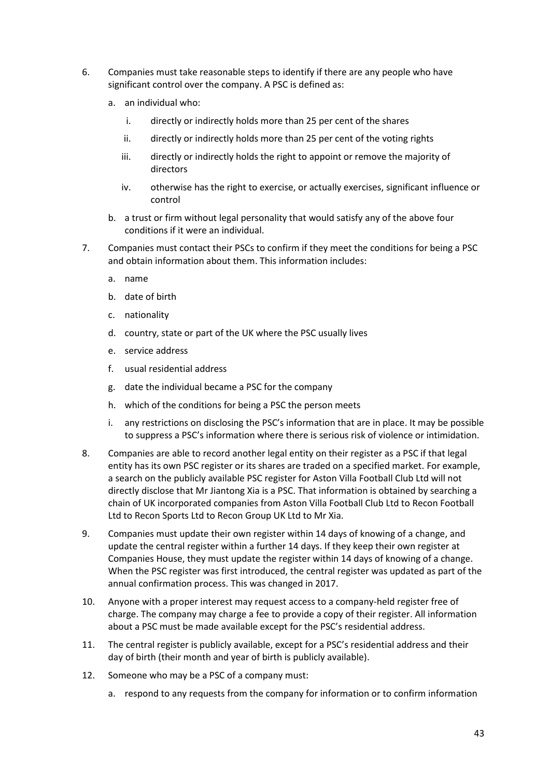- 6. Companies must take reasonable steps to identify if there are any people who have significant control over the company. A PSC is defined as:
	- a. an individual who:
		- i. directly or indirectly holds more than 25 per cent of the shares
		- ii. directly or indirectly holds more than 25 per cent of the voting rights
		- iii. directly or indirectly holds the right to appoint or remove the majority of directors
		- iv. otherwise has the right to exercise, or actually exercises, significant influence or control
	- b. a trust or firm without legal personality that would satisfy any of the above four conditions if it were an individual.
- 7. Companies must contact their PSCs to confirm if they meet the conditions for being a PSC and obtain information about them. This information includes:
	- a. name
	- b. date of birth
	- c. nationality
	- d. country, state or part of the UK where the PSC usually lives
	- e. service address
	- f. usual residential address
	- g. date the individual became a PSC for the company
	- h. which of the conditions for being a PSC the person meets
	- i. any restrictions on disclosing the PSC's information that are in place. It may be possible to suppress a PSC's information where there is serious risk of violence or intimidation.
- 8. Companies are able to record another legal entity on their register as a PSC if that legal entity has its own PSC register or its shares are traded on a specified market. For example, a search on the publicly available PSC register for Aston Villa Football Club Ltd will not directly disclose that Mr Jiantong Xia is a PSC. That information is obtained by searching a chain of UK incorporated companies from Aston Villa Football Club Ltd to Recon Football Ltd to Recon Sports Ltd to Recon Group UK Ltd to Mr Xia.
- 9. Companies must update their own register within 14 days of knowing of a change, and update the central register within a further 14 days. If they keep their own register at Companies House, they must update the register within 14 days of knowing of a change. When the PSC register was first introduced, the central register was updated as part of the annual confirmation process. This was changed in 2017.
- 10. Anyone with a proper interest may request access to a company-held register free of charge. The company may charge a fee to provide a copy of their register. All information about a PSC must be made available except for the PSC's residential address.
- 11. The central register is publicly available, except for a PSC's residential address and their day of birth (their month and year of birth is publicly available).
- 12. Someone who may be a PSC of a company must:
	- a. respond to any requests from the company for information or to confirm information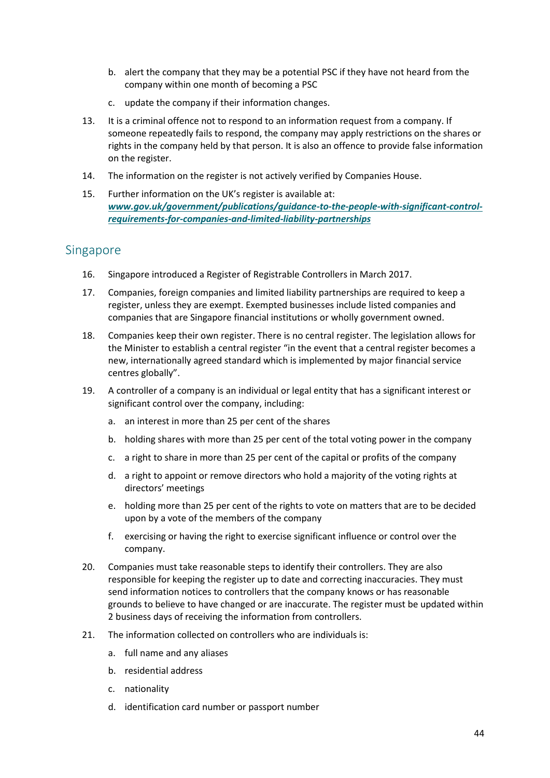- b. alert the company that they may be a potential PSC if they have not heard from the company within one month of becoming a PSC
- c. update the company if their information changes.
- 13. It is a criminal offence not to respond to an information request from a company. If someone repeatedly fails to respond, the company may apply restrictions on the shares or rights in the company held by that person. It is also an offence to provide false information on the register.
- 14. The information on the register is not actively verified by Companies House.
- 15. Further information on the UK's register is available at: *[www.gov.uk/government/publications/guidance-to-the-people-with-significant-control](http://www.gov.uk/government/publications/guidance-to-the-people-with-significant-control-requirements-for-companies-and-limited-liability-partnerships)[requirements-for-companies-and-limited-liability-partnerships](http://www.gov.uk/government/publications/guidance-to-the-people-with-significant-control-requirements-for-companies-and-limited-liability-partnerships)*

### Singapore

- 16. Singapore introduced a Register of Registrable Controllers in March 2017.
- 17. Companies, foreign companies and limited liability partnerships are required to keep a register, unless they are exempt. Exempted businesses include listed companies and companies that are Singapore financial institutions or wholly government owned.
- 18. Companies keep their own register. There is no central register. The legislation allows for the Minister to establish a central register "in the event that a central register becomes a new, internationally agreed standard which is implemented by major financial service centres globally".
- 19. A controller of a company is an individual or legal entity that has a significant interest or significant control over the company, including:
	- a. an interest in more than 25 per cent of the shares
	- b. holding shares with more than 25 per cent of the total voting power in the company
	- c. a right to share in more than 25 per cent of the capital or profits of the company
	- d. a right to appoint or remove directors who hold a majority of the voting rights at directors' meetings
	- e. holding more than 25 per cent of the rights to vote on matters that are to be decided upon by a vote of the members of the company
	- f. exercising or having the right to exercise significant influence or control over the company.
- 20. Companies must take reasonable steps to identify their controllers. They are also responsible for keeping the register up to date and correcting inaccuracies. They must send information notices to controllers that the company knows or has reasonable grounds to believe to have changed or are inaccurate. The register must be updated within 2 business days of receiving the information from controllers.
- 21. The information collected on controllers who are individuals is:
	- a. full name and any aliases
	- b. residential address
	- c. nationality
	- d. identification card number or passport number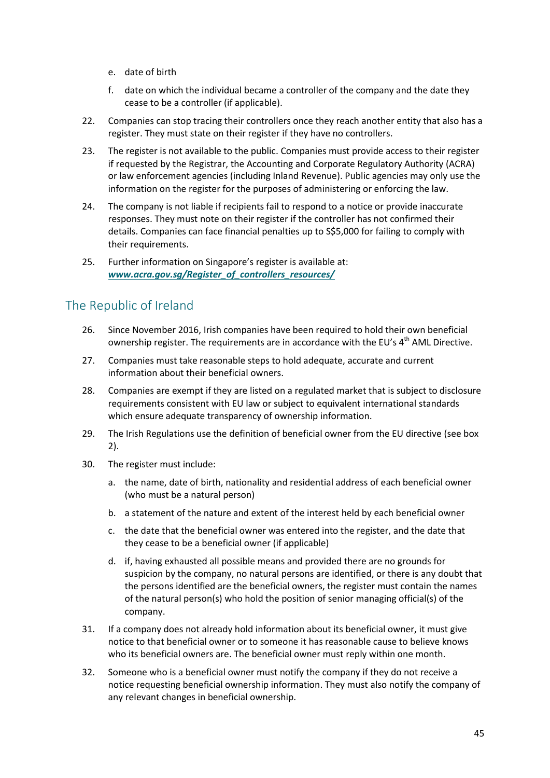- e. date of birth
- f. date on which the individual became a controller of the company and the date they cease to be a controller (if applicable).
- 22. Companies can stop tracing their controllers once they reach another entity that also has a register. They must state on their register if they have no controllers.
- 23. The register is not available to the public. Companies must provide access to their register if requested by the Registrar, the Accounting and Corporate Regulatory Authority (ACRA) or law enforcement agencies (including Inland Revenue). Public agencies may only use the information on the register for the purposes of administering or enforcing the law.
- 24. The company is not liable if recipients fail to respond to a notice or provide inaccurate responses. They must note on their register if the controller has not confirmed their details. Companies can face financial penalties up to S\$5,000 for failing to comply with their requirements.
- 25. Further information on Singapore's register is available at: *[www.acra.gov.sg/Register\\_of\\_controllers\\_resources/](http://www.acra.gov.sg/Register_of_controllers_resources/)*

## The Republic of Ireland

- 26. Since November 2016, Irish companies have been required to hold their own beneficial ownership register. The requirements are in accordance with the EU's 4<sup>th</sup> AML Directive.
- 27. Companies must take reasonable steps to hold adequate, accurate and current information about their beneficial owners.
- 28. Companies are exempt if they are listed on a regulated market that is subject to disclosure requirements consistent with EU law or subject to equivalent international standards which ensure adequate transparency of ownership information.
- 29. The Irish Regulations use the definition of beneficial owner from the EU directive (see box 2).
- 30. The register must include:
	- a. the name, date of birth, nationality and residential address of each beneficial owner (who must be a natural person)
	- b. a statement of the nature and extent of the interest held by each beneficial owner
	- c. the date that the beneficial owner was entered into the register, and the date that they cease to be a beneficial owner (if applicable)
	- d. if, having exhausted all possible means and provided there are no grounds for suspicion by the company, no natural persons are identified, or there is any doubt that the persons identified are the beneficial owners, the register must contain the names of the natural person(s) who hold the position of senior managing official(s) of the company.
- 31. If a company does not already hold information about its beneficial owner, it must give notice to that beneficial owner or to someone it has reasonable cause to believe knows who its beneficial owners are. The beneficial owner must reply within one month.
- 32. Someone who is a beneficial owner must notify the company if they do not receive a notice requesting beneficial ownership information. They must also notify the company of any relevant changes in beneficial ownership.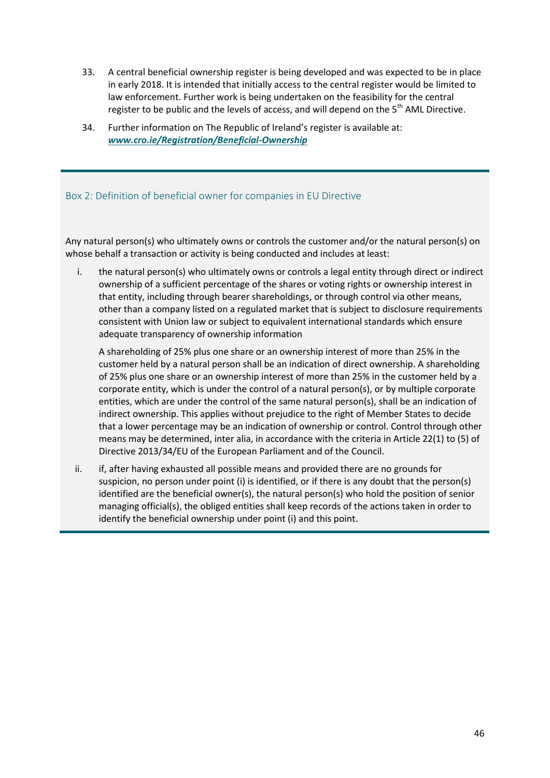- 33. A central beneficial ownership register is being developed and was expected to be in place in early 2018. It is intended that initially access to the central register would be limited to law enforcement. Further work is being undertaken on the feasibility for the central register to be public and the levels of access, and will depend on the  $5<sup>th</sup>$  AML Directive.
- 34. Further information on The Republic of Ireland's register is available at: *[www.cro.ie/Registration/Beneficial-Ownership](http://www.cro.ie/Registration/Beneficial-Ownership)*

#### Box 2: Definition of beneficial owner for companies in EU Directive

Any natural person(s) who ultimately owns or controls the customer and/or the natural person(s) on whose behalf a transaction or activity is being conducted and includes at least:

i. the natural person(s) who ultimately owns or controls a legal entity through direct or indirect ownership of a sufficient percentage of the shares or voting rights or ownership interest in that entity, including through bearer shareholdings, or through control via other means, other than a company listed on a regulated market that is subject to disclosure requirements consistent with Union law or subject to equivalent international standards which ensure adequate transparency of ownership information

A shareholding of 25% plus one share or an ownership interest of more than 25% in the customer held by a natural person shall be an indication of direct ownership. A shareholding of 25% plus one share or an ownership interest of more than 25% in the customer held by a corporate entity, which is under the control of a natural person(s), or by multiple corporate entities, which are under the control of the same natural person(s), shall be an indication of indirect ownership. This applies without prejudice to the right of Member States to decide that a lower percentage may be an indication of ownership or control. Control through other means may be determined, inter alia, in accordance with the criteria in Article 22(1) to (5) of Directive 2013/34/EU of the European Parliament and of the Council.

ii. if, after having exhausted all possible means and provided there are no grounds for suspicion, no person under point (i) is identified, or if there is any doubt that the person(s) identified are the beneficial owner(s), the natural person(s) who hold the position of senior managing official(s), the obliged entities shall keep records of the actions taken in order to identify the beneficial ownership under point (i) and this point.